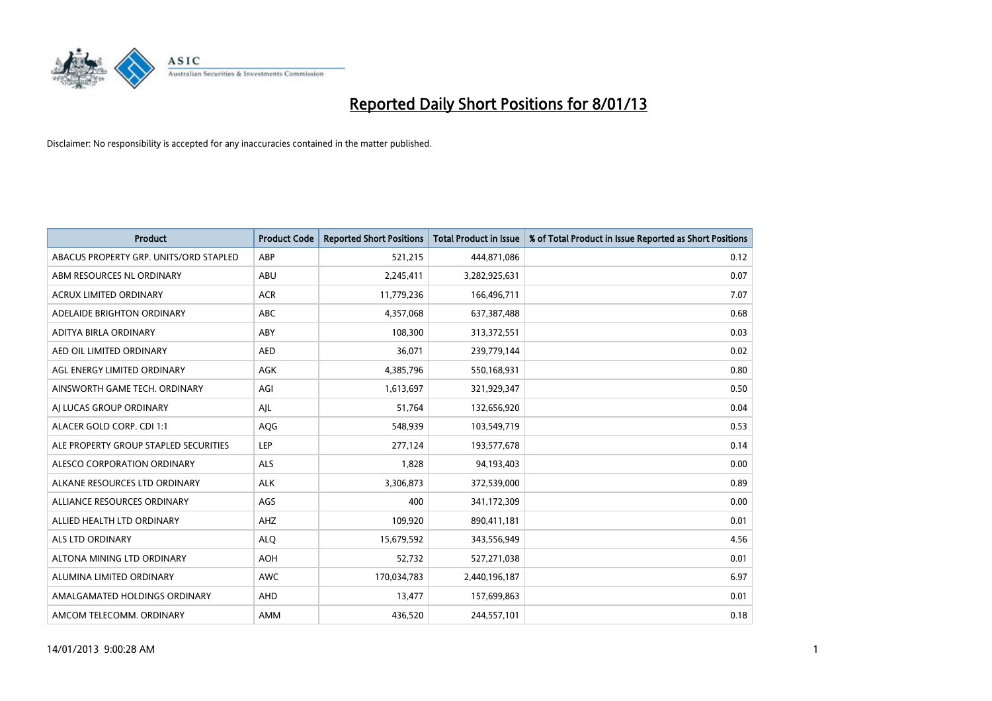

| <b>Product</b>                         | <b>Product Code</b> | <b>Reported Short Positions</b> | <b>Total Product in Issue</b> | % of Total Product in Issue Reported as Short Positions |
|----------------------------------------|---------------------|---------------------------------|-------------------------------|---------------------------------------------------------|
| ABACUS PROPERTY GRP. UNITS/ORD STAPLED | ABP                 | 521,215                         | 444,871,086                   | 0.12                                                    |
| ABM RESOURCES NL ORDINARY              | ABU                 | 2,245,411                       | 3,282,925,631                 | 0.07                                                    |
| <b>ACRUX LIMITED ORDINARY</b>          | <b>ACR</b>          | 11,779,236                      | 166,496,711                   | 7.07                                                    |
| ADELAIDE BRIGHTON ORDINARY             | <b>ABC</b>          | 4,357,068                       | 637,387,488                   | 0.68                                                    |
| <b>ADITYA BIRLA ORDINARY</b>           | ABY                 | 108,300                         | 313,372,551                   | 0.03                                                    |
| AED OIL LIMITED ORDINARY               | <b>AED</b>          | 36,071                          | 239,779,144                   | 0.02                                                    |
| AGL ENERGY LIMITED ORDINARY            | AGK                 | 4,385,796                       | 550,168,931                   | 0.80                                                    |
| AINSWORTH GAME TECH. ORDINARY          | AGI                 | 1,613,697                       | 321,929,347                   | 0.50                                                    |
| AI LUCAS GROUP ORDINARY                | AJL                 | 51,764                          | 132,656,920                   | 0.04                                                    |
| ALACER GOLD CORP. CDI 1:1              | AQG                 | 548,939                         | 103,549,719                   | 0.53                                                    |
| ALE PROPERTY GROUP STAPLED SECURITIES  | <b>LEP</b>          | 277,124                         | 193,577,678                   | 0.14                                                    |
| <b>ALESCO CORPORATION ORDINARY</b>     | <b>ALS</b>          | 1,828                           | 94,193,403                    | 0.00                                                    |
| ALKANE RESOURCES LTD ORDINARY          | <b>ALK</b>          | 3,306,873                       | 372,539,000                   | 0.89                                                    |
| ALLIANCE RESOURCES ORDINARY            | AGS                 | 400                             | 341,172,309                   | 0.00                                                    |
| ALLIED HEALTH LTD ORDINARY             | AHZ                 | 109,920                         | 890,411,181                   | 0.01                                                    |
| ALS LTD ORDINARY                       | <b>ALO</b>          | 15,679,592                      | 343,556,949                   | 4.56                                                    |
| ALTONA MINING LTD ORDINARY             | <b>AOH</b>          | 52,732                          | 527,271,038                   | 0.01                                                    |
| ALUMINA LIMITED ORDINARY               | <b>AWC</b>          | 170,034,783                     | 2,440,196,187                 | 6.97                                                    |
| AMALGAMATED HOLDINGS ORDINARY          | AHD                 | 13,477                          | 157,699,863                   | 0.01                                                    |
| AMCOM TELECOMM. ORDINARY               | <b>AMM</b>          | 436,520                         | 244,557,101                   | 0.18                                                    |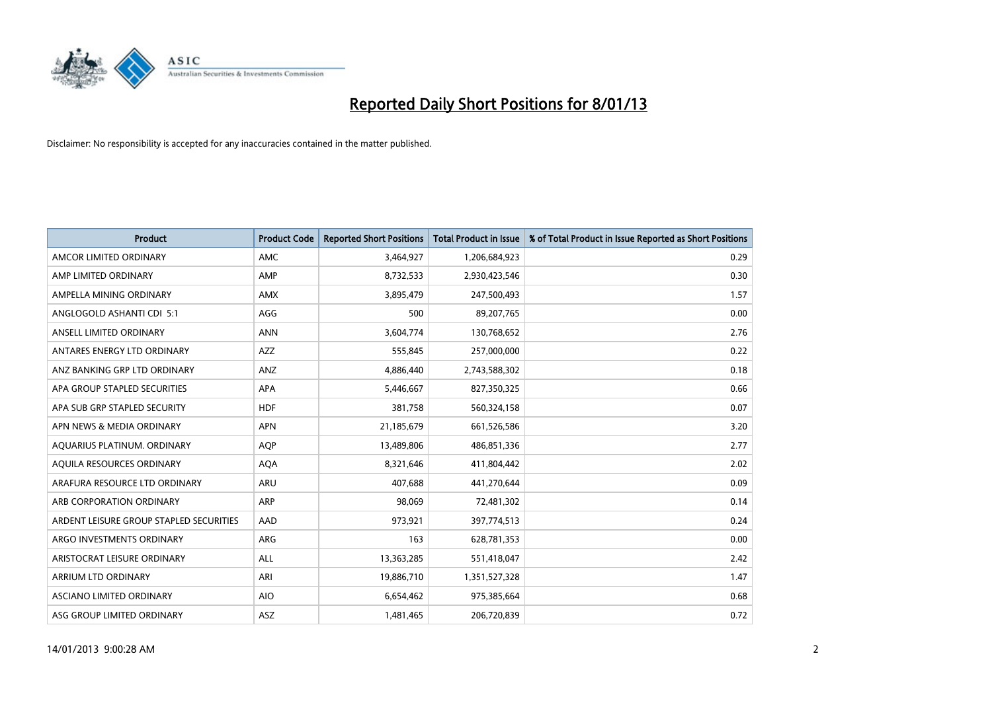

| <b>Product</b>                          | <b>Product Code</b> | <b>Reported Short Positions</b> | <b>Total Product in Issue</b> | % of Total Product in Issue Reported as Short Positions |
|-----------------------------------------|---------------------|---------------------------------|-------------------------------|---------------------------------------------------------|
| AMCOR LIMITED ORDINARY                  | <b>AMC</b>          | 3,464,927                       | 1,206,684,923                 | 0.29                                                    |
| AMP LIMITED ORDINARY                    | AMP                 | 8,732,533                       | 2,930,423,546                 | 0.30                                                    |
| AMPELLA MINING ORDINARY                 | <b>AMX</b>          | 3,895,479                       | 247,500,493                   | 1.57                                                    |
| ANGLOGOLD ASHANTI CDI 5:1               | AGG                 | 500                             | 89,207,765                    | 0.00                                                    |
| ANSELL LIMITED ORDINARY                 | <b>ANN</b>          | 3,604,774                       | 130,768,652                   | 2.76                                                    |
| ANTARES ENERGY LTD ORDINARY             | <b>AZZ</b>          | 555,845                         | 257,000,000                   | 0.22                                                    |
| ANZ BANKING GRP LTD ORDINARY            | ANZ                 | 4,886,440                       | 2,743,588,302                 | 0.18                                                    |
| APA GROUP STAPLED SECURITIES            | <b>APA</b>          | 5,446,667                       | 827,350,325                   | 0.66                                                    |
| APA SUB GRP STAPLED SECURITY            | <b>HDF</b>          | 381,758                         | 560,324,158                   | 0.07                                                    |
| APN NEWS & MEDIA ORDINARY               | <b>APN</b>          | 21,185,679                      | 661,526,586                   | 3.20                                                    |
| AQUARIUS PLATINUM. ORDINARY             | <b>AOP</b>          | 13,489,806                      | 486,851,336                   | 2.77                                                    |
| AQUILA RESOURCES ORDINARY               | <b>AQA</b>          | 8,321,646                       | 411,804,442                   | 2.02                                                    |
| ARAFURA RESOURCE LTD ORDINARY           | <b>ARU</b>          | 407,688                         | 441,270,644                   | 0.09                                                    |
| ARB CORPORATION ORDINARY                | <b>ARP</b>          | 98,069                          | 72,481,302                    | 0.14                                                    |
| ARDENT LEISURE GROUP STAPLED SECURITIES | AAD                 | 973,921                         | 397,774,513                   | 0.24                                                    |
| ARGO INVESTMENTS ORDINARY               | ARG                 | 163                             | 628,781,353                   | 0.00                                                    |
| ARISTOCRAT LEISURE ORDINARY             | <b>ALL</b>          | 13,363,285                      | 551,418,047                   | 2.42                                                    |
| ARRIUM LTD ORDINARY                     | ARI                 | 19,886,710                      | 1,351,527,328                 | 1.47                                                    |
| ASCIANO LIMITED ORDINARY                | <b>AIO</b>          | 6,654,462                       | 975,385,664                   | 0.68                                                    |
| ASG GROUP LIMITED ORDINARY              | <b>ASZ</b>          | 1,481,465                       | 206,720,839                   | 0.72                                                    |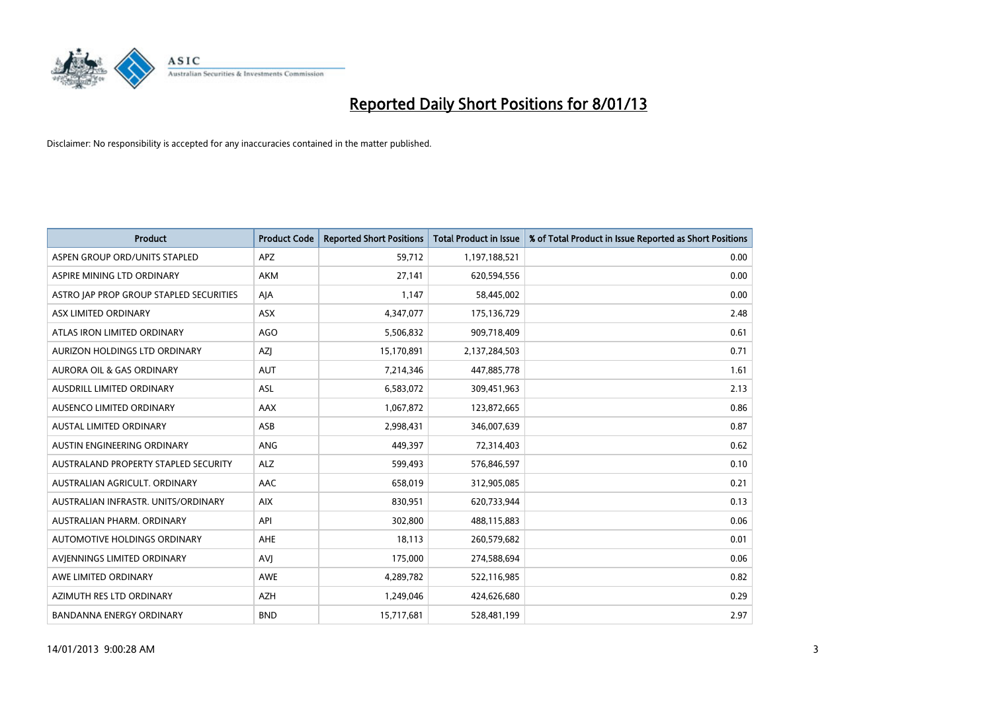

| <b>Product</b>                              | <b>Product Code</b> | <b>Reported Short Positions</b> | <b>Total Product in Issue</b> | % of Total Product in Issue Reported as Short Positions |
|---------------------------------------------|---------------------|---------------------------------|-------------------------------|---------------------------------------------------------|
| ASPEN GROUP ORD/UNITS STAPLED               | <b>APZ</b>          | 59,712                          | 1,197,188,521                 | 0.00                                                    |
| ASPIRE MINING LTD ORDINARY                  | <b>AKM</b>          | 27,141                          | 620,594,556                   | 0.00                                                    |
| ASTRO JAP PROP GROUP STAPLED SECURITIES     | AJA                 | 1,147                           | 58,445,002                    | 0.00                                                    |
| ASX LIMITED ORDINARY                        | ASX                 | 4,347,077                       | 175,136,729                   | 2.48                                                    |
| ATLAS IRON LIMITED ORDINARY                 | AGO                 | 5,506,832                       | 909,718,409                   | 0.61                                                    |
| AURIZON HOLDINGS LTD ORDINARY               | <b>AZI</b>          | 15,170,891                      | 2,137,284,503                 | 0.71                                                    |
| AURORA OIL & GAS ORDINARY                   | <b>AUT</b>          | 7,214,346                       | 447,885,778                   | 1.61                                                    |
| AUSDRILL LIMITED ORDINARY                   | ASL                 | 6,583,072                       | 309,451,963                   | 2.13                                                    |
| AUSENCO LIMITED ORDINARY                    | AAX                 | 1,067,872                       | 123,872,665                   | 0.86                                                    |
| <b>AUSTAL LIMITED ORDINARY</b>              | ASB                 | 2,998,431                       | 346,007,639                   | 0.87                                                    |
| AUSTIN ENGINEERING ORDINARY                 | ANG                 | 449,397                         | 72,314,403                    | 0.62                                                    |
| <b>AUSTRALAND PROPERTY STAPLED SECURITY</b> | <b>ALZ</b>          | 599,493                         | 576,846,597                   | 0.10                                                    |
| AUSTRALIAN AGRICULT. ORDINARY               | AAC                 | 658,019                         | 312,905,085                   | 0.21                                                    |
| AUSTRALIAN INFRASTR. UNITS/ORDINARY         | <b>AIX</b>          | 830,951                         | 620,733,944                   | 0.13                                                    |
| AUSTRALIAN PHARM, ORDINARY                  | API                 | 302,800                         | 488,115,883                   | 0.06                                                    |
| AUTOMOTIVE HOLDINGS ORDINARY                | AHE                 | 18,113                          | 260,579,682                   | 0.01                                                    |
| AVIENNINGS LIMITED ORDINARY                 | AVI                 | 175,000                         | 274,588,694                   | 0.06                                                    |
| AWE LIMITED ORDINARY                        | <b>AWE</b>          | 4,289,782                       | 522,116,985                   | 0.82                                                    |
| AZIMUTH RES LTD ORDINARY                    | <b>AZH</b>          | 1,249,046                       | 424,626,680                   | 0.29                                                    |
| <b>BANDANNA ENERGY ORDINARY</b>             | <b>BND</b>          | 15,717,681                      | 528,481,199                   | 2.97                                                    |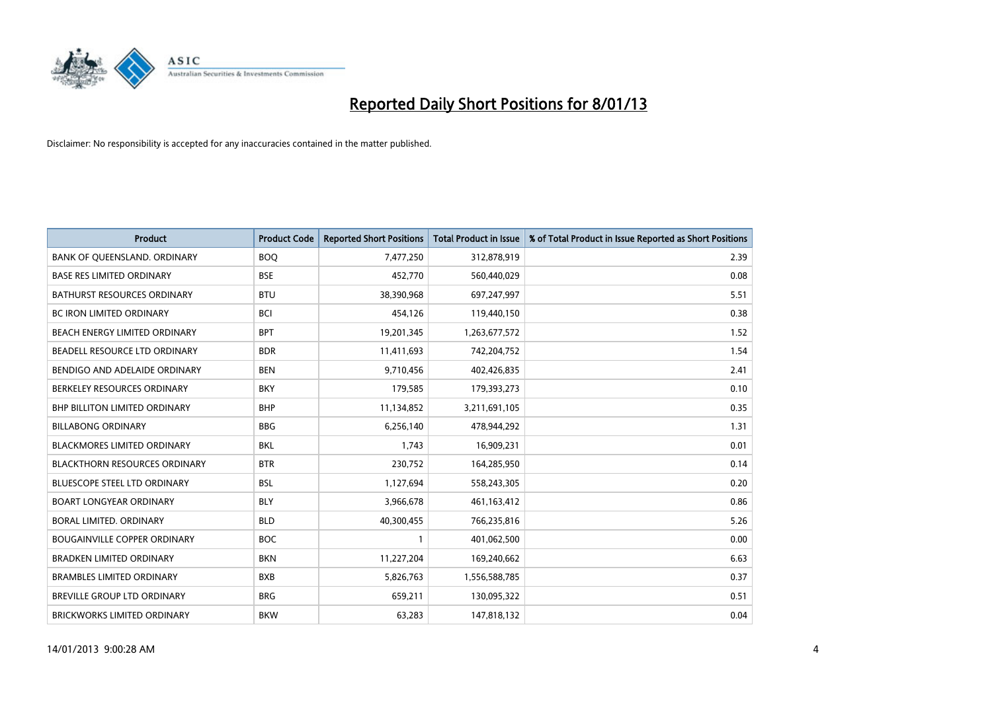

| <b>Product</b>                       | <b>Product Code</b> | <b>Reported Short Positions</b> | <b>Total Product in Issue</b> | % of Total Product in Issue Reported as Short Positions |
|--------------------------------------|---------------------|---------------------------------|-------------------------------|---------------------------------------------------------|
| BANK OF QUEENSLAND. ORDINARY         | <b>BOO</b>          | 7,477,250                       | 312,878,919                   | 2.39                                                    |
| <b>BASE RES LIMITED ORDINARY</b>     | <b>BSE</b>          | 452,770                         | 560,440,029                   | 0.08                                                    |
| <b>BATHURST RESOURCES ORDINARY</b>   | <b>BTU</b>          | 38,390,968                      | 697,247,997                   | 5.51                                                    |
| <b>BC IRON LIMITED ORDINARY</b>      | <b>BCI</b>          | 454,126                         | 119,440,150                   | 0.38                                                    |
| BEACH ENERGY LIMITED ORDINARY        | <b>BPT</b>          | 19,201,345                      | 1,263,677,572                 | 1.52                                                    |
| BEADELL RESOURCE LTD ORDINARY        | <b>BDR</b>          | 11,411,693                      | 742,204,752                   | 1.54                                                    |
| BENDIGO AND ADELAIDE ORDINARY        | <b>BEN</b>          | 9,710,456                       | 402,426,835                   | 2.41                                                    |
| BERKELEY RESOURCES ORDINARY          | <b>BKY</b>          | 179,585                         | 179,393,273                   | 0.10                                                    |
| <b>BHP BILLITON LIMITED ORDINARY</b> | <b>BHP</b>          | 11,134,852                      | 3,211,691,105                 | 0.35                                                    |
| <b>BILLABONG ORDINARY</b>            | <b>BBG</b>          | 6,256,140                       | 478,944,292                   | 1.31                                                    |
| BLACKMORES LIMITED ORDINARY          | <b>BKL</b>          | 1,743                           | 16,909,231                    | 0.01                                                    |
| <b>BLACKTHORN RESOURCES ORDINARY</b> | <b>BTR</b>          | 230,752                         | 164,285,950                   | 0.14                                                    |
| BLUESCOPE STEEL LTD ORDINARY         | <b>BSL</b>          | 1,127,694                       | 558,243,305                   | 0.20                                                    |
| <b>BOART LONGYEAR ORDINARY</b>       | <b>BLY</b>          | 3,966,678                       | 461,163,412                   | 0.86                                                    |
| BORAL LIMITED, ORDINARY              | <b>BLD</b>          | 40,300,455                      | 766,235,816                   | 5.26                                                    |
| <b>BOUGAINVILLE COPPER ORDINARY</b>  | <b>BOC</b>          |                                 | 401,062,500                   | 0.00                                                    |
| <b>BRADKEN LIMITED ORDINARY</b>      | <b>BKN</b>          | 11,227,204                      | 169,240,662                   | 6.63                                                    |
| <b>BRAMBLES LIMITED ORDINARY</b>     | <b>BXB</b>          | 5,826,763                       | 1,556,588,785                 | 0.37                                                    |
| <b>BREVILLE GROUP LTD ORDINARY</b>   | <b>BRG</b>          | 659,211                         | 130,095,322                   | 0.51                                                    |
| BRICKWORKS LIMITED ORDINARY          | <b>BKW</b>          | 63,283                          | 147,818,132                   | 0.04                                                    |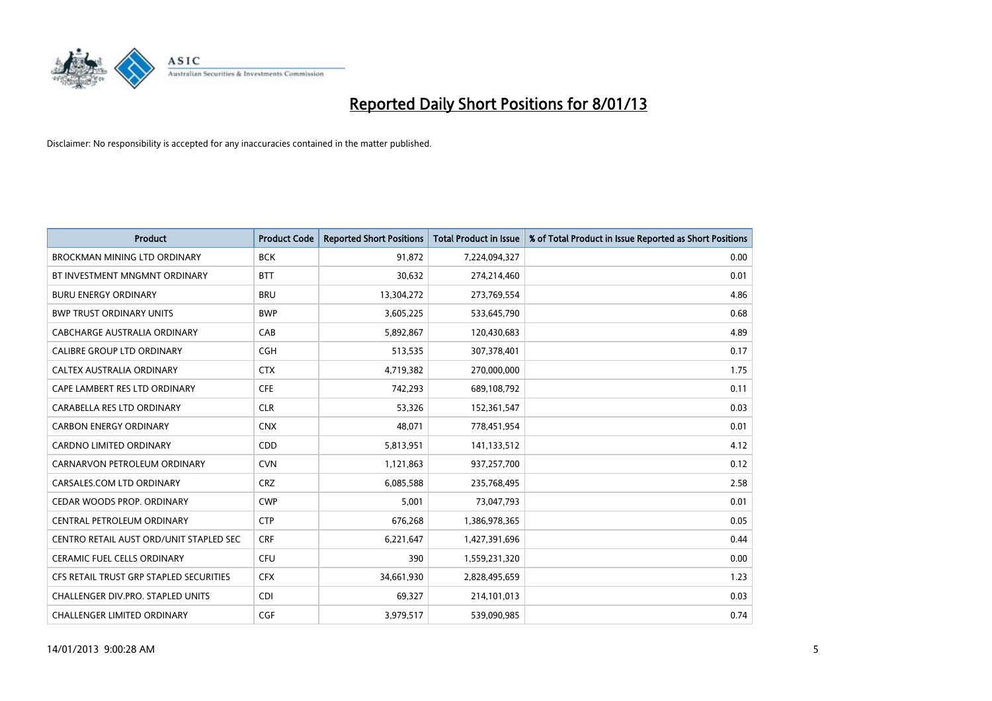

| <b>Product</b>                          | <b>Product Code</b> | <b>Reported Short Positions</b> | <b>Total Product in Issue</b> | % of Total Product in Issue Reported as Short Positions |
|-----------------------------------------|---------------------|---------------------------------|-------------------------------|---------------------------------------------------------|
| <b>BROCKMAN MINING LTD ORDINARY</b>     | <b>BCK</b>          | 91,872                          | 7,224,094,327                 | 0.00                                                    |
| BT INVESTMENT MNGMNT ORDINARY           | <b>BTT</b>          | 30,632                          | 274,214,460                   | 0.01                                                    |
| <b>BURU ENERGY ORDINARY</b>             | <b>BRU</b>          | 13,304,272                      | 273,769,554                   | 4.86                                                    |
| <b>BWP TRUST ORDINARY UNITS</b>         | <b>BWP</b>          | 3,605,225                       | 533,645,790                   | 0.68                                                    |
| CABCHARGE AUSTRALIA ORDINARY            | CAB                 | 5,892,867                       | 120,430,683                   | 4.89                                                    |
| <b>CALIBRE GROUP LTD ORDINARY</b>       | CGH                 | 513,535                         | 307,378,401                   | 0.17                                                    |
| CALTEX AUSTRALIA ORDINARY               | <b>CTX</b>          | 4,719,382                       | 270,000,000                   | 1.75                                                    |
| CAPE LAMBERT RES LTD ORDINARY           | <b>CFE</b>          | 742,293                         | 689,108,792                   | 0.11                                                    |
| CARABELLA RES LTD ORDINARY              | <b>CLR</b>          | 53,326                          | 152,361,547                   | 0.03                                                    |
| <b>CARBON ENERGY ORDINARY</b>           | <b>CNX</b>          | 48,071                          | 778,451,954                   | 0.01                                                    |
| <b>CARDNO LIMITED ORDINARY</b>          | <b>CDD</b>          | 5,813,951                       | 141,133,512                   | 4.12                                                    |
| CARNARVON PETROLEUM ORDINARY            | <b>CVN</b>          | 1,121,863                       | 937,257,700                   | 0.12                                                    |
| CARSALES.COM LTD ORDINARY               | <b>CRZ</b>          | 6,085,588                       | 235,768,495                   | 2.58                                                    |
| CEDAR WOODS PROP. ORDINARY              | <b>CWP</b>          | 5,001                           | 73,047,793                    | 0.01                                                    |
| CENTRAL PETROLEUM ORDINARY              | <b>CTP</b>          | 676,268                         | 1,386,978,365                 | 0.05                                                    |
| CENTRO RETAIL AUST ORD/UNIT STAPLED SEC | <b>CRF</b>          | 6,221,647                       | 1,427,391,696                 | 0.44                                                    |
| CERAMIC FUEL CELLS ORDINARY             | CFU                 | 390                             | 1,559,231,320                 | 0.00                                                    |
| CFS RETAIL TRUST GRP STAPLED SECURITIES | <b>CFX</b>          | 34,661,930                      | 2,828,495,659                 | 1.23                                                    |
| CHALLENGER DIV.PRO. STAPLED UNITS       | <b>CDI</b>          | 69,327                          | 214,101,013                   | 0.03                                                    |
| <b>CHALLENGER LIMITED ORDINARY</b>      | <b>CGF</b>          | 3,979,517                       | 539,090,985                   | 0.74                                                    |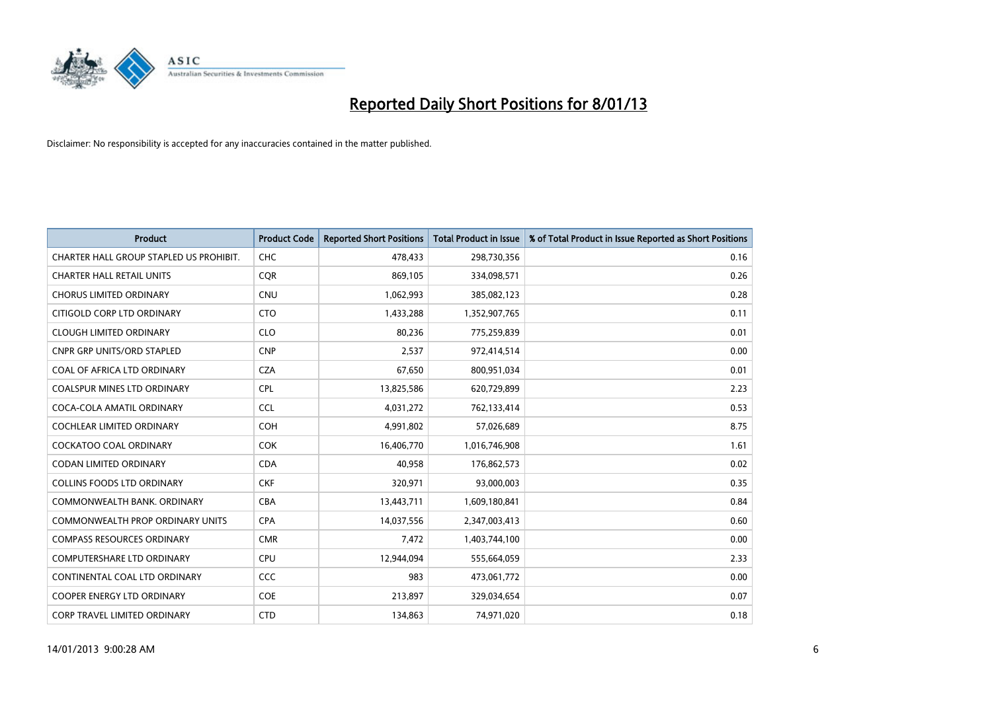

| <b>Product</b>                          | <b>Product Code</b> | <b>Reported Short Positions</b> | <b>Total Product in Issue</b> | % of Total Product in Issue Reported as Short Positions |
|-----------------------------------------|---------------------|---------------------------------|-------------------------------|---------------------------------------------------------|
| CHARTER HALL GROUP STAPLED US PROHIBIT. | <b>CHC</b>          | 478,433                         | 298,730,356                   | 0.16                                                    |
| <b>CHARTER HALL RETAIL UNITS</b>        | <b>COR</b>          | 869,105                         | 334,098,571                   | 0.26                                                    |
| <b>CHORUS LIMITED ORDINARY</b>          | <b>CNU</b>          | 1,062,993                       | 385,082,123                   | 0.28                                                    |
| CITIGOLD CORP LTD ORDINARY              | <b>CTO</b>          | 1,433,288                       | 1,352,907,765                 | 0.11                                                    |
| <b>CLOUGH LIMITED ORDINARY</b>          | <b>CLO</b>          | 80,236                          | 775,259,839                   | 0.01                                                    |
| <b>CNPR GRP UNITS/ORD STAPLED</b>       | <b>CNP</b>          | 2,537                           | 972,414,514                   | 0.00                                                    |
| COAL OF AFRICA LTD ORDINARY             | <b>CZA</b>          | 67,650                          | 800,951,034                   | 0.01                                                    |
| COALSPUR MINES LTD ORDINARY             | <b>CPL</b>          | 13,825,586                      | 620,729,899                   | 2.23                                                    |
| COCA-COLA AMATIL ORDINARY               | <b>CCL</b>          | 4,031,272                       | 762,133,414                   | 0.53                                                    |
| <b>COCHLEAR LIMITED ORDINARY</b>        | <b>COH</b>          | 4,991,802                       | 57,026,689                    | 8.75                                                    |
| COCKATOO COAL ORDINARY                  | <b>COK</b>          | 16,406,770                      | 1,016,746,908                 | 1.61                                                    |
| <b>CODAN LIMITED ORDINARY</b>           | <b>CDA</b>          | 40,958                          | 176,862,573                   | 0.02                                                    |
| COLLINS FOODS LTD ORDINARY              | <b>CKF</b>          | 320,971                         | 93,000,003                    | 0.35                                                    |
| COMMONWEALTH BANK, ORDINARY             | <b>CBA</b>          | 13,443,711                      | 1,609,180,841                 | 0.84                                                    |
| <b>COMMONWEALTH PROP ORDINARY UNITS</b> | <b>CPA</b>          | 14,037,556                      | 2,347,003,413                 | 0.60                                                    |
| <b>COMPASS RESOURCES ORDINARY</b>       | <b>CMR</b>          | 7,472                           | 1,403,744,100                 | 0.00                                                    |
| COMPUTERSHARE LTD ORDINARY              | <b>CPU</b>          | 12,944,094                      | 555,664,059                   | 2.33                                                    |
| CONTINENTAL COAL LTD ORDINARY           | CCC                 | 983                             | 473,061,772                   | 0.00                                                    |
| <b>COOPER ENERGY LTD ORDINARY</b>       | <b>COE</b>          | 213,897                         | 329,034,654                   | 0.07                                                    |
| CORP TRAVEL LIMITED ORDINARY            | <b>CTD</b>          | 134,863                         | 74,971,020                    | 0.18                                                    |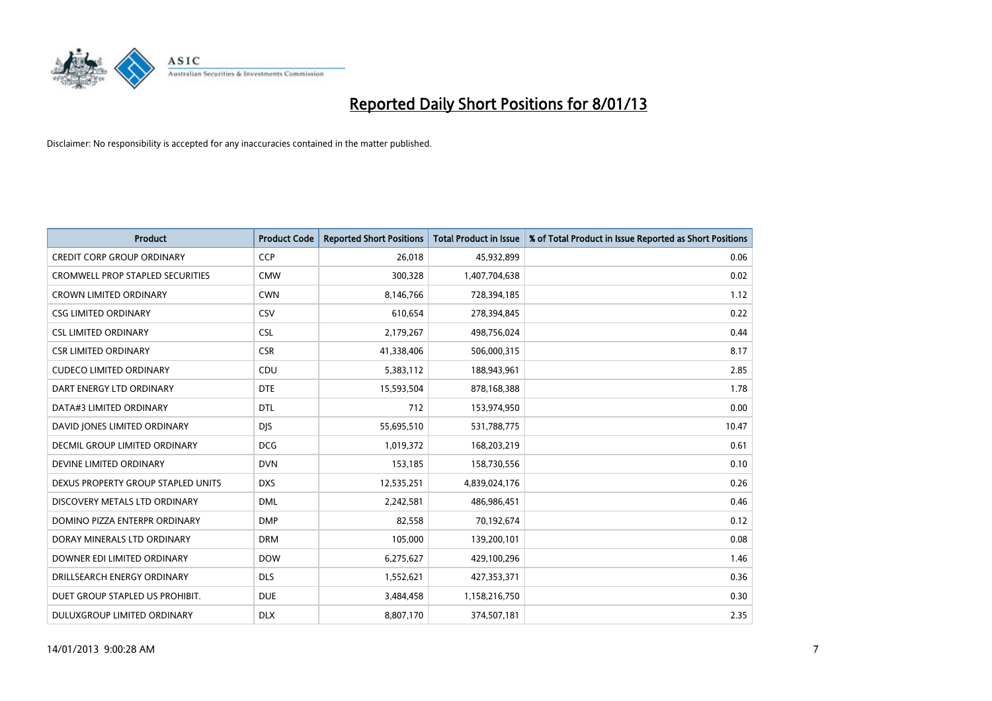

| <b>Product</b>                          | <b>Product Code</b> | <b>Reported Short Positions</b> | <b>Total Product in Issue</b> | % of Total Product in Issue Reported as Short Positions |
|-----------------------------------------|---------------------|---------------------------------|-------------------------------|---------------------------------------------------------|
| <b>CREDIT CORP GROUP ORDINARY</b>       | <b>CCP</b>          | 26,018                          | 45,932,899                    | 0.06                                                    |
| <b>CROMWELL PROP STAPLED SECURITIES</b> | <b>CMW</b>          | 300,328                         | 1,407,704,638                 | 0.02                                                    |
| <b>CROWN LIMITED ORDINARY</b>           | <b>CWN</b>          | 8,146,766                       | 728,394,185                   | 1.12                                                    |
| <b>CSG LIMITED ORDINARY</b>             | CSV                 | 610,654                         | 278,394,845                   | 0.22                                                    |
| <b>CSL LIMITED ORDINARY</b>             | <b>CSL</b>          | 2,179,267                       | 498,756,024                   | 0.44                                                    |
| <b>CSR LIMITED ORDINARY</b>             | <b>CSR</b>          | 41,338,406                      | 506,000,315                   | 8.17                                                    |
| <b>CUDECO LIMITED ORDINARY</b>          | CDU                 | 5,383,112                       | 188,943,961                   | 2.85                                                    |
| DART ENERGY LTD ORDINARY                | <b>DTE</b>          | 15,593,504                      | 878,168,388                   | 1.78                                                    |
| DATA#3 LIMITED ORDINARY                 | <b>DTL</b>          | 712                             | 153,974,950                   | 0.00                                                    |
| DAVID JONES LIMITED ORDINARY            | <b>DJS</b>          | 55,695,510                      | 531,788,775                   | 10.47                                                   |
| <b>DECMIL GROUP LIMITED ORDINARY</b>    | <b>DCG</b>          | 1,019,372                       | 168,203,219                   | 0.61                                                    |
| DEVINE LIMITED ORDINARY                 | <b>DVN</b>          | 153,185                         | 158,730,556                   | 0.10                                                    |
| DEXUS PROPERTY GROUP STAPLED UNITS      | <b>DXS</b>          | 12,535,251                      | 4,839,024,176                 | 0.26                                                    |
| DISCOVERY METALS LTD ORDINARY           | <b>DML</b>          | 2,242,581                       | 486,986,451                   | 0.46                                                    |
| DOMINO PIZZA ENTERPR ORDINARY           | <b>DMP</b>          | 82,558                          | 70,192,674                    | 0.12                                                    |
| DORAY MINERALS LTD ORDINARY             | <b>DRM</b>          | 105,000                         | 139,200,101                   | 0.08                                                    |
| DOWNER EDI LIMITED ORDINARY             | <b>DOW</b>          | 6,275,627                       | 429,100,296                   | 1.46                                                    |
| DRILLSEARCH ENERGY ORDINARY             | <b>DLS</b>          | 1,552,621                       | 427,353,371                   | 0.36                                                    |
| DUET GROUP STAPLED US PROHIBIT.         | <b>DUE</b>          | 3,484,458                       | 1,158,216,750                 | 0.30                                                    |
| DULUXGROUP LIMITED ORDINARY             | <b>DLX</b>          | 8,807,170                       | 374,507,181                   | 2.35                                                    |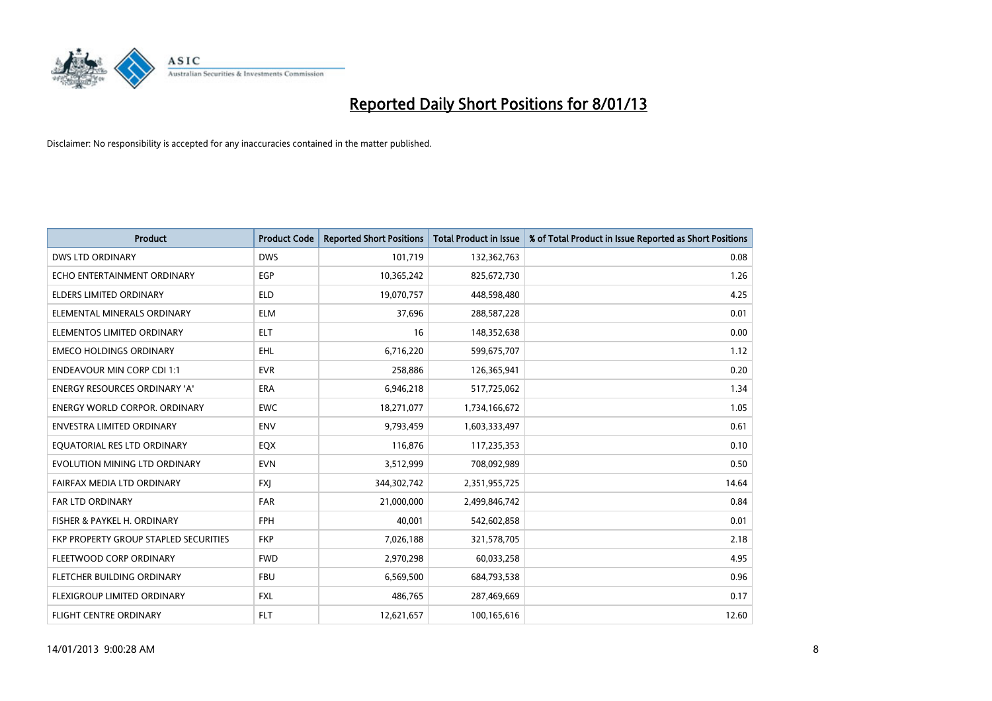

| <b>Product</b>                        | <b>Product Code</b> | <b>Reported Short Positions</b> | <b>Total Product in Issue</b> | % of Total Product in Issue Reported as Short Positions |
|---------------------------------------|---------------------|---------------------------------|-------------------------------|---------------------------------------------------------|
| <b>DWS LTD ORDINARY</b>               | <b>DWS</b>          | 101,719                         | 132,362,763                   | 0.08                                                    |
| ECHO ENTERTAINMENT ORDINARY           | <b>EGP</b>          | 10,365,242                      | 825,672,730                   | 1.26                                                    |
| <b>ELDERS LIMITED ORDINARY</b>        | <b>ELD</b>          | 19,070,757                      | 448,598,480                   | 4.25                                                    |
| ELEMENTAL MINERALS ORDINARY           | <b>ELM</b>          | 37,696                          | 288,587,228                   | 0.01                                                    |
| ELEMENTOS LIMITED ORDINARY            | <b>ELT</b>          | 16                              | 148,352,638                   | 0.00                                                    |
| <b>EMECO HOLDINGS ORDINARY</b>        | EHL.                | 6,716,220                       | 599,675,707                   | 1.12                                                    |
| <b>ENDEAVOUR MIN CORP CDI 1:1</b>     | <b>EVR</b>          | 258,886                         | 126,365,941                   | 0.20                                                    |
| <b>ENERGY RESOURCES ORDINARY 'A'</b>  | <b>ERA</b>          | 6,946,218                       | 517,725,062                   | 1.34                                                    |
| <b>ENERGY WORLD CORPOR. ORDINARY</b>  | <b>EWC</b>          | 18,271,077                      | 1,734,166,672                 | 1.05                                                    |
| <b>ENVESTRA LIMITED ORDINARY</b>      | <b>ENV</b>          | 9,793,459                       | 1,603,333,497                 | 0.61                                                    |
| EQUATORIAL RES LTD ORDINARY           | EQX                 | 116,876                         | 117,235,353                   | 0.10                                                    |
| EVOLUTION MINING LTD ORDINARY         | <b>EVN</b>          | 3,512,999                       | 708,092,989                   | 0.50                                                    |
| FAIRFAX MEDIA LTD ORDINARY            | <b>FXI</b>          | 344,302,742                     | 2,351,955,725                 | 14.64                                                   |
| <b>FAR LTD ORDINARY</b>               | <b>FAR</b>          | 21,000,000                      | 2,499,846,742                 | 0.84                                                    |
| FISHER & PAYKEL H. ORDINARY           | <b>FPH</b>          | 40.001                          | 542,602,858                   | 0.01                                                    |
| FKP PROPERTY GROUP STAPLED SECURITIES | <b>FKP</b>          | 7,026,188                       | 321,578,705                   | 2.18                                                    |
| FLEETWOOD CORP ORDINARY               | <b>FWD</b>          | 2,970,298                       | 60,033,258                    | 4.95                                                    |
| FLETCHER BUILDING ORDINARY            | <b>FBU</b>          | 6,569,500                       | 684,793,538                   | 0.96                                                    |
| FLEXIGROUP LIMITED ORDINARY           | <b>FXL</b>          | 486,765                         | 287,469,669                   | 0.17                                                    |
| FLIGHT CENTRE ORDINARY                | <b>FLT</b>          | 12,621,657                      | 100,165,616                   | 12.60                                                   |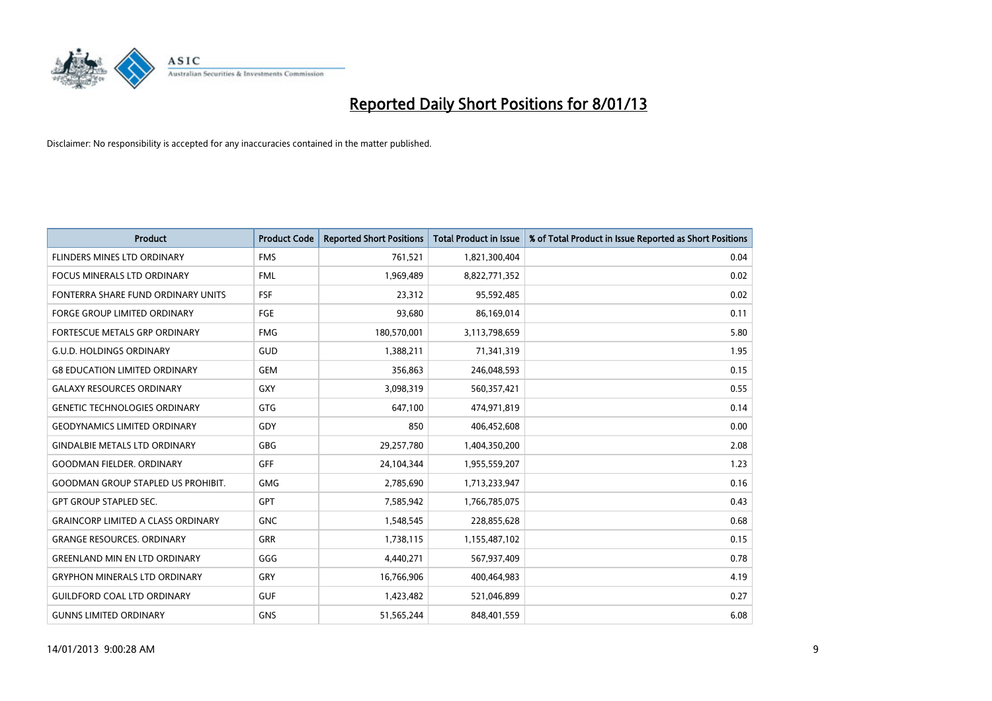

| <b>Product</b>                            | <b>Product Code</b> | <b>Reported Short Positions</b> | <b>Total Product in Issue</b> | % of Total Product in Issue Reported as Short Positions |
|-------------------------------------------|---------------------|---------------------------------|-------------------------------|---------------------------------------------------------|
| FLINDERS MINES LTD ORDINARY               | <b>FMS</b>          | 761,521                         | 1,821,300,404                 | 0.04                                                    |
| <b>FOCUS MINERALS LTD ORDINARY</b>        | <b>FML</b>          | 1,969,489                       | 8,822,771,352                 | 0.02                                                    |
| FONTERRA SHARE FUND ORDINARY UNITS        | <b>FSF</b>          | 23,312                          | 95,592,485                    | 0.02                                                    |
| FORGE GROUP LIMITED ORDINARY              | FGE                 | 93,680                          | 86,169,014                    | 0.11                                                    |
| FORTESCUE METALS GRP ORDINARY             | <b>FMG</b>          | 180,570,001                     | 3,113,798,659                 | 5.80                                                    |
| <b>G.U.D. HOLDINGS ORDINARY</b>           | GUD                 | 1,388,211                       | 71,341,319                    | 1.95                                                    |
| <b>G8 EDUCATION LIMITED ORDINARY</b>      | <b>GEM</b>          | 356.863                         | 246,048,593                   | 0.15                                                    |
| <b>GALAXY RESOURCES ORDINARY</b>          | <b>GXY</b>          | 3,098,319                       | 560,357,421                   | 0.55                                                    |
| <b>GENETIC TECHNOLOGIES ORDINARY</b>      | <b>GTG</b>          | 647,100                         | 474,971,819                   | 0.14                                                    |
| <b>GEODYNAMICS LIMITED ORDINARY</b>       | GDY                 | 850                             | 406,452,608                   | 0.00                                                    |
| <b>GINDALBIE METALS LTD ORDINARY</b>      | <b>GBG</b>          | 29,257,780                      | 1,404,350,200                 | 2.08                                                    |
| <b>GOODMAN FIELDER, ORDINARY</b>          | <b>GFF</b>          | 24,104,344                      | 1,955,559,207                 | 1.23                                                    |
| <b>GOODMAN GROUP STAPLED US PROHIBIT.</b> | <b>GMG</b>          | 2,785,690                       | 1,713,233,947                 | 0.16                                                    |
| <b>GPT GROUP STAPLED SEC.</b>             | <b>GPT</b>          | 7,585,942                       | 1,766,785,075                 | 0.43                                                    |
| <b>GRAINCORP LIMITED A CLASS ORDINARY</b> | <b>GNC</b>          | 1,548,545                       | 228,855,628                   | 0.68                                                    |
| <b>GRANGE RESOURCES, ORDINARY</b>         | <b>GRR</b>          | 1,738,115                       | 1,155,487,102                 | 0.15                                                    |
| <b>GREENLAND MIN EN LTD ORDINARY</b>      | GGG                 | 4,440,271                       | 567,937,409                   | 0.78                                                    |
| <b>GRYPHON MINERALS LTD ORDINARY</b>      | GRY                 | 16,766,906                      | 400,464,983                   | 4.19                                                    |
| <b>GUILDFORD COAL LTD ORDINARY</b>        | <b>GUF</b>          | 1,423,482                       | 521,046,899                   | 0.27                                                    |
| <b>GUNNS LIMITED ORDINARY</b>             | <b>GNS</b>          | 51,565,244                      | 848,401,559                   | 6.08                                                    |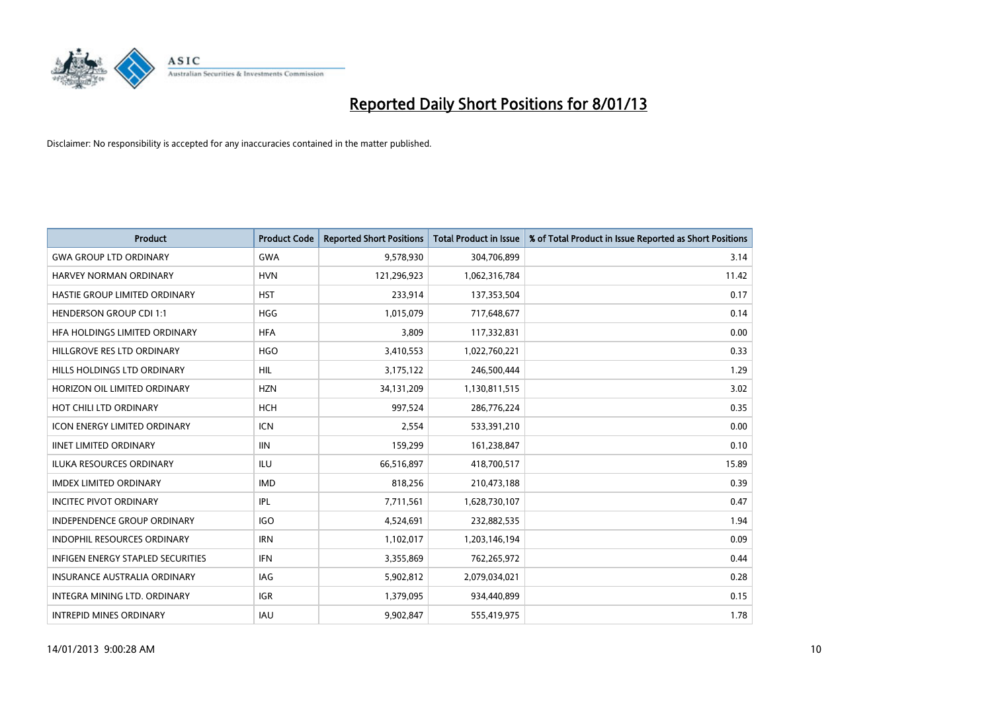

| <b>Product</b>                           | <b>Product Code</b> | <b>Reported Short Positions</b> | <b>Total Product in Issue</b> | % of Total Product in Issue Reported as Short Positions |
|------------------------------------------|---------------------|---------------------------------|-------------------------------|---------------------------------------------------------|
| <b>GWA GROUP LTD ORDINARY</b>            | <b>GWA</b>          | 9,578,930                       | 304,706,899                   | 3.14                                                    |
| <b>HARVEY NORMAN ORDINARY</b>            | <b>HVN</b>          | 121,296,923                     | 1,062,316,784                 | 11.42                                                   |
| HASTIE GROUP LIMITED ORDINARY            | <b>HST</b>          | 233,914                         | 137,353,504                   | 0.17                                                    |
| <b>HENDERSON GROUP CDI 1:1</b>           | <b>HGG</b>          | 1,015,079                       | 717,648,677                   | 0.14                                                    |
| HFA HOLDINGS LIMITED ORDINARY            | <b>HFA</b>          | 3,809                           | 117,332,831                   | 0.00                                                    |
| HILLGROVE RES LTD ORDINARY               | <b>HGO</b>          | 3,410,553                       | 1,022,760,221                 | 0.33                                                    |
| HILLS HOLDINGS LTD ORDINARY              | <b>HIL</b>          | 3,175,122                       | 246,500,444                   | 1.29                                                    |
| HORIZON OIL LIMITED ORDINARY             | <b>HZN</b>          | 34,131,209                      | 1,130,811,515                 | 3.02                                                    |
| HOT CHILI LTD ORDINARY                   | <b>HCH</b>          | 997,524                         | 286,776,224                   | 0.35                                                    |
| <b>ICON ENERGY LIMITED ORDINARY</b>      | <b>ICN</b>          | 2,554                           | 533,391,210                   | 0.00                                                    |
| <b>IINET LIMITED ORDINARY</b>            | <b>IIN</b>          | 159,299                         | 161,238,847                   | 0.10                                                    |
| <b>ILUKA RESOURCES ORDINARY</b>          | ILU                 | 66,516,897                      | 418,700,517                   | 15.89                                                   |
| <b>IMDEX LIMITED ORDINARY</b>            | <b>IMD</b>          | 818,256                         | 210,473,188                   | 0.39                                                    |
| <b>INCITEC PIVOT ORDINARY</b>            | IPL                 | 7,711,561                       | 1,628,730,107                 | 0.47                                                    |
| <b>INDEPENDENCE GROUP ORDINARY</b>       | <b>IGO</b>          | 4,524,691                       | 232,882,535                   | 1.94                                                    |
| <b>INDOPHIL RESOURCES ORDINARY</b>       | <b>IRN</b>          | 1,102,017                       | 1,203,146,194                 | 0.09                                                    |
| <b>INFIGEN ENERGY STAPLED SECURITIES</b> | <b>IFN</b>          | 3,355,869                       | 762,265,972                   | 0.44                                                    |
| INSURANCE AUSTRALIA ORDINARY             | IAG                 | 5,902,812                       | 2,079,034,021                 | 0.28                                                    |
| <b>INTEGRA MINING LTD, ORDINARY</b>      | <b>IGR</b>          | 1,379,095                       | 934,440,899                   | 0.15                                                    |
| <b>INTREPID MINES ORDINARY</b>           | <b>IAU</b>          | 9.902.847                       | 555,419,975                   | 1.78                                                    |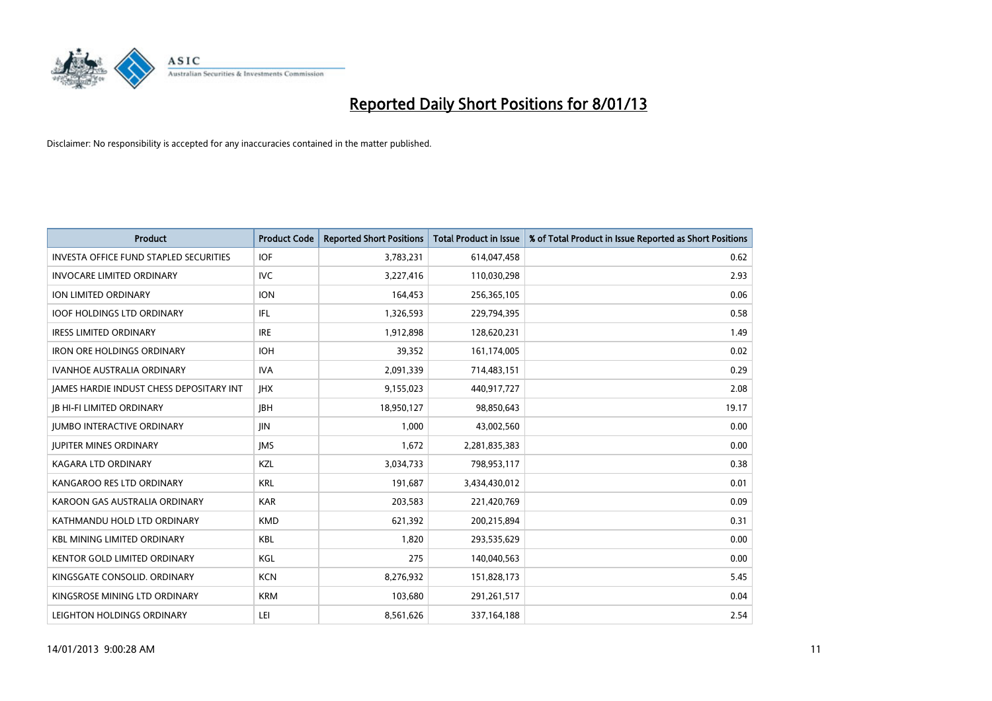

| <b>Product</b>                                  | <b>Product Code</b> | <b>Reported Short Positions</b> | <b>Total Product in Issue</b> | % of Total Product in Issue Reported as Short Positions |
|-------------------------------------------------|---------------------|---------------------------------|-------------------------------|---------------------------------------------------------|
| <b>INVESTA OFFICE FUND STAPLED SECURITIES</b>   | <b>IOF</b>          | 3,783,231                       | 614,047,458                   | 0.62                                                    |
| <b>INVOCARE LIMITED ORDINARY</b>                | IVC                 | 3,227,416                       | 110,030,298                   | 2.93                                                    |
| <b>ION LIMITED ORDINARY</b>                     | <b>ION</b>          | 164,453                         | 256,365,105                   | 0.06                                                    |
| <b>IOOF HOLDINGS LTD ORDINARY</b>               | <b>IFL</b>          | 1,326,593                       | 229,794,395                   | 0.58                                                    |
| <b>IRESS LIMITED ORDINARY</b>                   | <b>IRE</b>          | 1,912,898                       | 128,620,231                   | 1.49                                                    |
| <b>IRON ORE HOLDINGS ORDINARY</b>               | <b>IOH</b>          | 39,352                          | 161,174,005                   | 0.02                                                    |
| <b>IVANHOE AUSTRALIA ORDINARY</b>               | <b>IVA</b>          | 2,091,339                       | 714,483,151                   | 0.29                                                    |
| <b>JAMES HARDIE INDUST CHESS DEPOSITARY INT</b> | <b>IHX</b>          | 9,155,023                       | 440,917,727                   | 2.08                                                    |
| <b>IB HI-FI LIMITED ORDINARY</b>                | <b>IBH</b>          | 18,950,127                      | 98,850,643                    | 19.17                                                   |
| <b>JUMBO INTERACTIVE ORDINARY</b>               | <b>JIN</b>          | 1,000                           | 43,002,560                    | 0.00                                                    |
| <b>JUPITER MINES ORDINARY</b>                   | <b>IMS</b>          | 1,672                           | 2,281,835,383                 | 0.00                                                    |
| <b>KAGARA LTD ORDINARY</b>                      | KZL                 | 3,034,733                       | 798,953,117                   | 0.38                                                    |
| KANGAROO RES LTD ORDINARY                       | <b>KRL</b>          | 191,687                         | 3,434,430,012                 | 0.01                                                    |
| KAROON GAS AUSTRALIA ORDINARY                   | <b>KAR</b>          | 203,583                         | 221,420,769                   | 0.09                                                    |
| KATHMANDU HOLD LTD ORDINARY                     | <b>KMD</b>          | 621,392                         | 200,215,894                   | 0.31                                                    |
| <b>KBL MINING LIMITED ORDINARY</b>              | <b>KBL</b>          | 1,820                           | 293,535,629                   | 0.00                                                    |
| KENTOR GOLD LIMITED ORDINARY                    | KGL                 | 275                             | 140,040,563                   | 0.00                                                    |
| KINGSGATE CONSOLID. ORDINARY                    | <b>KCN</b>          | 8,276,932                       | 151,828,173                   | 5.45                                                    |
| KINGSROSE MINING LTD ORDINARY                   | <b>KRM</b>          | 103,680                         | 291,261,517                   | 0.04                                                    |
| LEIGHTON HOLDINGS ORDINARY                      | LEI                 | 8,561,626                       | 337, 164, 188                 | 2.54                                                    |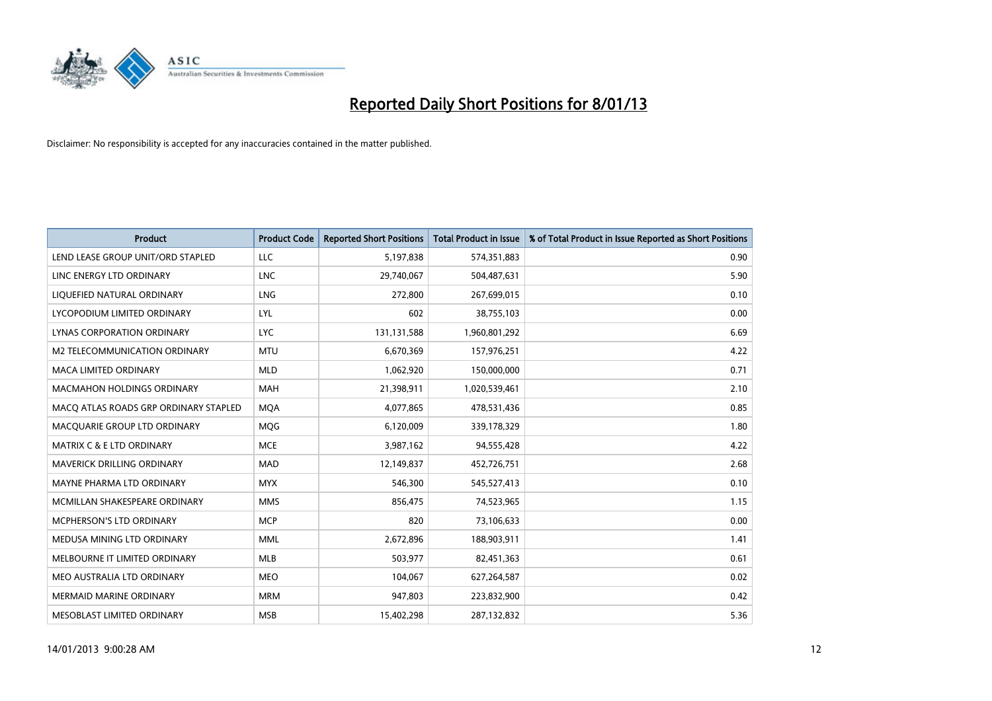

| <b>Product</b>                        | <b>Product Code</b> | <b>Reported Short Positions</b> | <b>Total Product in Issue</b> | % of Total Product in Issue Reported as Short Positions |
|---------------------------------------|---------------------|---------------------------------|-------------------------------|---------------------------------------------------------|
| LEND LEASE GROUP UNIT/ORD STAPLED     | LLC                 | 5,197,838                       | 574,351,883                   | 0.90                                                    |
| LINC ENERGY LTD ORDINARY              | <b>LNC</b>          | 29,740,067                      | 504,487,631                   | 5.90                                                    |
| LIQUEFIED NATURAL ORDINARY            | <b>LNG</b>          | 272,800                         | 267,699,015                   | 0.10                                                    |
| LYCOPODIUM LIMITED ORDINARY           | LYL                 | 602                             | 38,755,103                    | 0.00                                                    |
| LYNAS CORPORATION ORDINARY            | <b>LYC</b>          | 131,131,588                     | 1,960,801,292                 | 6.69                                                    |
| M2 TELECOMMUNICATION ORDINARY         | <b>MTU</b>          | 6,670,369                       | 157,976,251                   | 4.22                                                    |
| <b>MACA LIMITED ORDINARY</b>          | <b>MLD</b>          | 1,062,920                       | 150,000,000                   | 0.71                                                    |
| <b>MACMAHON HOLDINGS ORDINARY</b>     | <b>MAH</b>          | 21,398,911                      | 1,020,539,461                 | 2.10                                                    |
| MACQ ATLAS ROADS GRP ORDINARY STAPLED | <b>MQA</b>          | 4,077,865                       | 478,531,436                   | 0.85                                                    |
| MACOUARIE GROUP LTD ORDINARY          | <b>MOG</b>          | 6,120,009                       | 339,178,329                   | 1.80                                                    |
| <b>MATRIX C &amp; E LTD ORDINARY</b>  | <b>MCE</b>          | 3,987,162                       | 94,555,428                    | 4.22                                                    |
| <b>MAVERICK DRILLING ORDINARY</b>     | <b>MAD</b>          | 12,149,837                      | 452,726,751                   | 2.68                                                    |
| MAYNE PHARMA LTD ORDINARY             | <b>MYX</b>          | 546,300                         | 545,527,413                   | 0.10                                                    |
| MCMILLAN SHAKESPEARE ORDINARY         | <b>MMS</b>          | 856,475                         | 74,523,965                    | 1.15                                                    |
| MCPHERSON'S LTD ORDINARY              | <b>MCP</b>          | 820                             | 73,106,633                    | 0.00                                                    |
| MEDUSA MINING LTD ORDINARY            | <b>MML</b>          | 2,672,896                       | 188,903,911                   | 1.41                                                    |
| MELBOURNE IT LIMITED ORDINARY         | <b>MLB</b>          | 503,977                         | 82,451,363                    | 0.61                                                    |
| MEO AUSTRALIA LTD ORDINARY            | <b>MEO</b>          | 104,067                         | 627,264,587                   | 0.02                                                    |
| <b>MERMAID MARINE ORDINARY</b>        | <b>MRM</b>          | 947,803                         | 223,832,900                   | 0.42                                                    |
| MESOBLAST LIMITED ORDINARY            | <b>MSB</b>          | 15,402,298                      | 287,132,832                   | 5.36                                                    |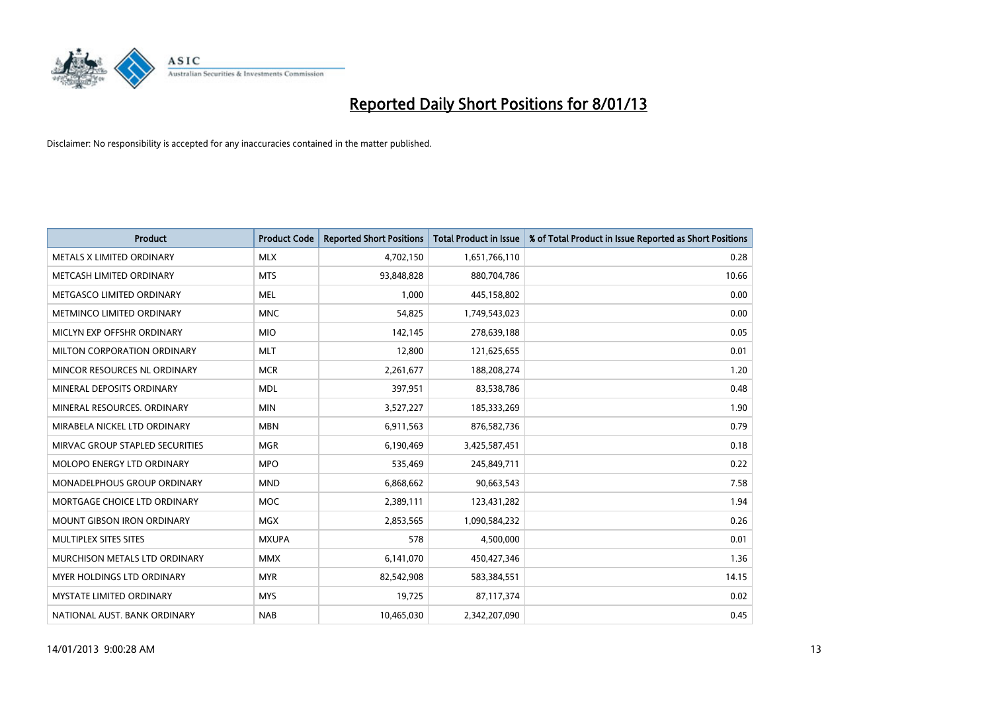

| <b>Product</b>                       | <b>Product Code</b> | <b>Reported Short Positions</b> | <b>Total Product in Issue</b> | % of Total Product in Issue Reported as Short Positions |
|--------------------------------------|---------------------|---------------------------------|-------------------------------|---------------------------------------------------------|
| METALS X LIMITED ORDINARY            | <b>MLX</b>          | 4,702,150                       | 1,651,766,110                 | 0.28                                                    |
| METCASH LIMITED ORDINARY             | <b>MTS</b>          | 93,848,828                      | 880,704,786                   | 10.66                                                   |
| METGASCO LIMITED ORDINARY            | <b>MEL</b>          | 1,000                           | 445,158,802                   | 0.00                                                    |
| METMINCO LIMITED ORDINARY            | <b>MNC</b>          | 54,825                          | 1,749,543,023                 | 0.00                                                    |
| MICLYN EXP OFFSHR ORDINARY           | <b>MIO</b>          | 142,145                         | 278,639,188                   | 0.05                                                    |
| <b>MILTON CORPORATION ORDINARY</b>   | <b>MLT</b>          | 12,800                          | 121,625,655                   | 0.01                                                    |
| MINCOR RESOURCES NL ORDINARY         | <b>MCR</b>          | 2,261,677                       | 188,208,274                   | 1.20                                                    |
| MINERAL DEPOSITS ORDINARY            | <b>MDL</b>          | 397,951                         | 83,538,786                    | 0.48                                                    |
| MINERAL RESOURCES. ORDINARY          | <b>MIN</b>          | 3,527,227                       | 185,333,269                   | 1.90                                                    |
| MIRABELA NICKEL LTD ORDINARY         | <b>MBN</b>          | 6,911,563                       | 876,582,736                   | 0.79                                                    |
| MIRVAC GROUP STAPLED SECURITIES      | <b>MGR</b>          | 6,190,469                       | 3,425,587,451                 | 0.18                                                    |
| <b>MOLOPO ENERGY LTD ORDINARY</b>    | <b>MPO</b>          | 535,469                         | 245,849,711                   | 0.22                                                    |
| <b>MONADELPHOUS GROUP ORDINARY</b>   | <b>MND</b>          | 6,868,662                       | 90,663,543                    | 7.58                                                    |
| MORTGAGE CHOICE LTD ORDINARY         | <b>MOC</b>          | 2,389,111                       | 123,431,282                   | 1.94                                                    |
| <b>MOUNT GIBSON IRON ORDINARY</b>    | <b>MGX</b>          | 2,853,565                       | 1,090,584,232                 | 0.26                                                    |
| MULTIPLEX SITES SITES                | <b>MXUPA</b>        | 578                             | 4,500,000                     | 0.01                                                    |
| <b>MURCHISON METALS LTD ORDINARY</b> | <b>MMX</b>          | 6,141,070                       | 450,427,346                   | 1.36                                                    |
| MYER HOLDINGS LTD ORDINARY           | <b>MYR</b>          | 82,542,908                      | 583,384,551                   | 14.15                                                   |
| <b>MYSTATE LIMITED ORDINARY</b>      | <b>MYS</b>          | 19,725                          | 87,117,374                    | 0.02                                                    |
| NATIONAL AUST. BANK ORDINARY         | <b>NAB</b>          | 10,465,030                      | 2,342,207,090                 | 0.45                                                    |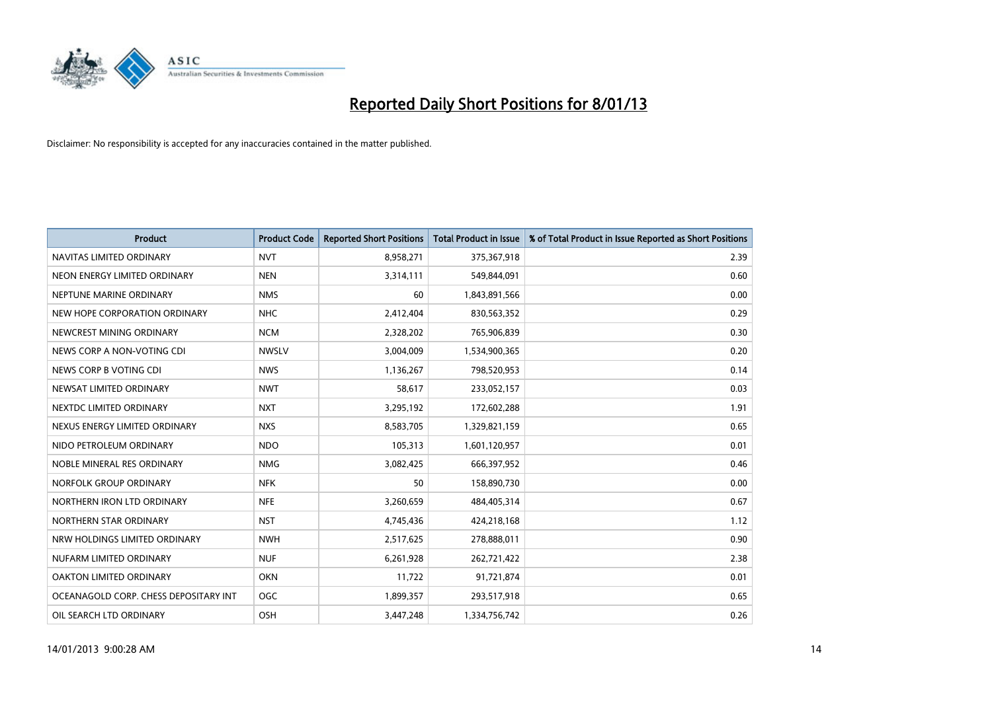

| <b>Product</b>                        | <b>Product Code</b> | <b>Reported Short Positions</b> | <b>Total Product in Issue</b> | % of Total Product in Issue Reported as Short Positions |
|---------------------------------------|---------------------|---------------------------------|-------------------------------|---------------------------------------------------------|
| NAVITAS LIMITED ORDINARY              | <b>NVT</b>          | 8,958,271                       | 375,367,918                   | 2.39                                                    |
| NEON ENERGY LIMITED ORDINARY          | <b>NEN</b>          | 3,314,111                       | 549,844,091                   | 0.60                                                    |
| NEPTUNE MARINE ORDINARY               | <b>NMS</b>          | 60                              | 1,843,891,566                 | 0.00                                                    |
| NEW HOPE CORPORATION ORDINARY         | <b>NHC</b>          | 2,412,404                       | 830,563,352                   | 0.29                                                    |
| NEWCREST MINING ORDINARY              | <b>NCM</b>          | 2,328,202                       | 765,906,839                   | 0.30                                                    |
| NEWS CORP A NON-VOTING CDI            | <b>NWSLV</b>        | 3,004,009                       | 1,534,900,365                 | 0.20                                                    |
| NEWS CORP B VOTING CDI                | <b>NWS</b>          | 1,136,267                       | 798,520,953                   | 0.14                                                    |
| NEWSAT LIMITED ORDINARY               | <b>NWT</b>          | 58,617                          | 233,052,157                   | 0.03                                                    |
| NEXTDC LIMITED ORDINARY               | <b>NXT</b>          | 3,295,192                       | 172,602,288                   | 1.91                                                    |
| NEXUS ENERGY LIMITED ORDINARY         | <b>NXS</b>          | 8,583,705                       | 1,329,821,159                 | 0.65                                                    |
| NIDO PETROLEUM ORDINARY               | <b>NDO</b>          | 105,313                         | 1,601,120,957                 | 0.01                                                    |
| NOBLE MINERAL RES ORDINARY            | <b>NMG</b>          | 3,082,425                       | 666,397,952                   | 0.46                                                    |
| NORFOLK GROUP ORDINARY                | <b>NFK</b>          | 50                              | 158,890,730                   | 0.00                                                    |
| NORTHERN IRON LTD ORDINARY            | <b>NFE</b>          | 3,260,659                       | 484,405,314                   | 0.67                                                    |
| NORTHERN STAR ORDINARY                | <b>NST</b>          | 4,745,436                       | 424,218,168                   | 1.12                                                    |
| NRW HOLDINGS LIMITED ORDINARY         | <b>NWH</b>          | 2,517,625                       | 278,888,011                   | 0.90                                                    |
| NUFARM LIMITED ORDINARY               | <b>NUF</b>          | 6,261,928                       | 262,721,422                   | 2.38                                                    |
| OAKTON LIMITED ORDINARY               | <b>OKN</b>          | 11,722                          | 91,721,874                    | 0.01                                                    |
| OCEANAGOLD CORP. CHESS DEPOSITARY INT | <b>OGC</b>          | 1,899,357                       | 293,517,918                   | 0.65                                                    |
| OIL SEARCH LTD ORDINARY               | <b>OSH</b>          | 3.447.248                       | 1,334,756,742                 | 0.26                                                    |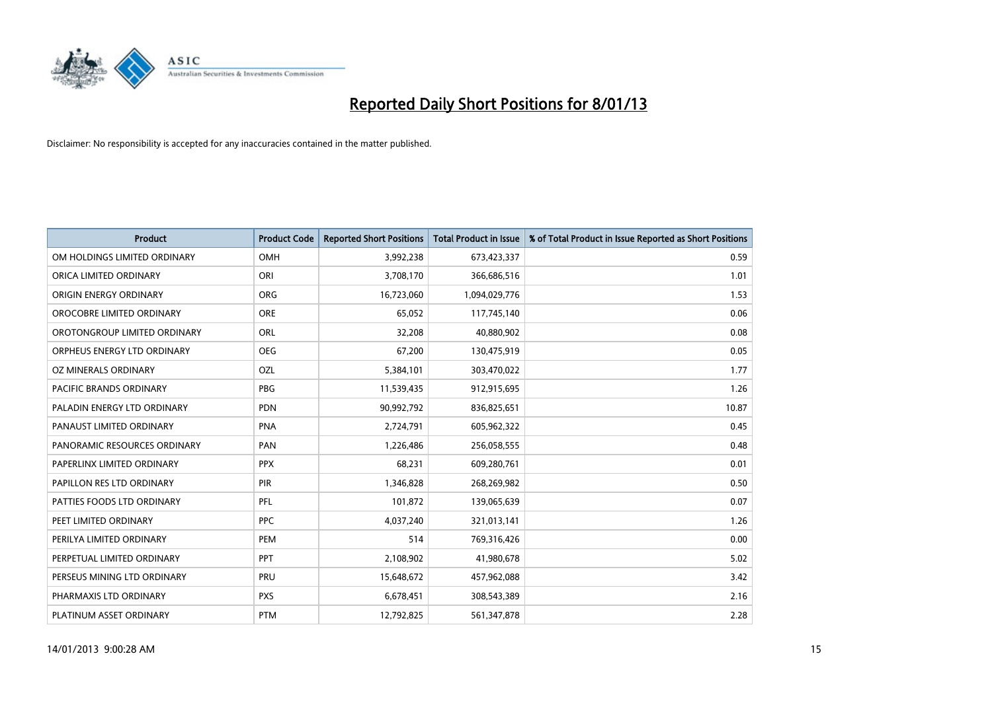

| <b>Product</b>               | <b>Product Code</b> | <b>Reported Short Positions</b> | <b>Total Product in Issue</b> | % of Total Product in Issue Reported as Short Positions |
|------------------------------|---------------------|---------------------------------|-------------------------------|---------------------------------------------------------|
| OM HOLDINGS LIMITED ORDINARY | <b>OMH</b>          | 3,992,238                       | 673,423,337                   | 0.59                                                    |
| ORICA LIMITED ORDINARY       | ORI                 | 3,708,170                       | 366,686,516                   | 1.01                                                    |
| ORIGIN ENERGY ORDINARY       | ORG                 | 16,723,060                      | 1,094,029,776                 | 1.53                                                    |
| OROCOBRE LIMITED ORDINARY    | <b>ORE</b>          | 65,052                          | 117,745,140                   | 0.06                                                    |
| OROTONGROUP LIMITED ORDINARY | ORL                 | 32,208                          | 40,880,902                    | 0.08                                                    |
| ORPHEUS ENERGY LTD ORDINARY  | <b>OEG</b>          | 67,200                          | 130,475,919                   | 0.05                                                    |
| OZ MINERALS ORDINARY         | OZL                 | 5,384,101                       | 303,470,022                   | 1.77                                                    |
| PACIFIC BRANDS ORDINARY      | PBG                 | 11,539,435                      | 912,915,695                   | 1.26                                                    |
| PALADIN ENERGY LTD ORDINARY  | <b>PDN</b>          | 90,992,792                      | 836,825,651                   | 10.87                                                   |
| PANAUST LIMITED ORDINARY     | <b>PNA</b>          | 2,724,791                       | 605,962,322                   | 0.45                                                    |
| PANORAMIC RESOURCES ORDINARY | PAN                 | 1,226,486                       | 256,058,555                   | 0.48                                                    |
| PAPERLINX LIMITED ORDINARY   | <b>PPX</b>          | 68,231                          | 609,280,761                   | 0.01                                                    |
| PAPILLON RES LTD ORDINARY    | PIR                 | 1,346,828                       | 268,269,982                   | 0.50                                                    |
| PATTIES FOODS LTD ORDINARY   | PFL                 | 101.872                         | 139,065,639                   | 0.07                                                    |
| PEET LIMITED ORDINARY        | <b>PPC</b>          | 4,037,240                       | 321,013,141                   | 1.26                                                    |
| PERILYA LIMITED ORDINARY     | PEM                 | 514                             | 769,316,426                   | 0.00                                                    |
| PERPETUAL LIMITED ORDINARY   | PPT                 | 2,108,902                       | 41,980,678                    | 5.02                                                    |
| PERSEUS MINING LTD ORDINARY  | PRU                 | 15,648,672                      | 457,962,088                   | 3.42                                                    |
| PHARMAXIS LTD ORDINARY       | <b>PXS</b>          | 6,678,451                       | 308,543,389                   | 2.16                                                    |
| PLATINUM ASSET ORDINARY      | <b>PTM</b>          | 12,792,825                      | 561,347,878                   | 2.28                                                    |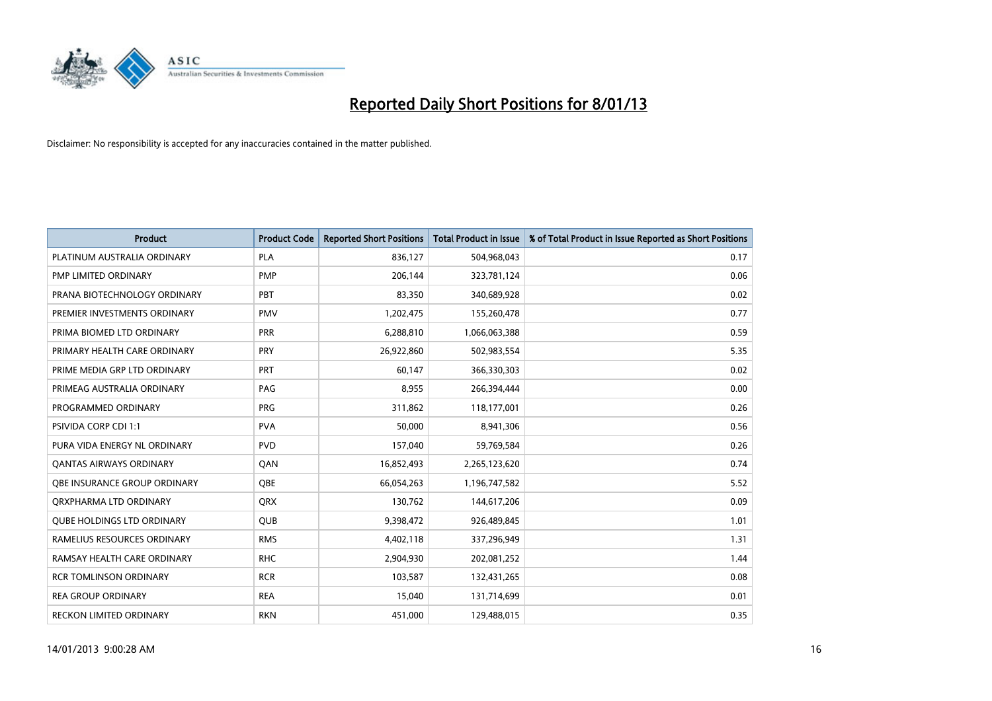

| <b>Product</b>                      | <b>Product Code</b> | <b>Reported Short Positions</b> | <b>Total Product in Issue</b> | % of Total Product in Issue Reported as Short Positions |
|-------------------------------------|---------------------|---------------------------------|-------------------------------|---------------------------------------------------------|
| PLATINUM AUSTRALIA ORDINARY         | <b>PLA</b>          | 836,127                         | 504,968,043                   | 0.17                                                    |
| PMP LIMITED ORDINARY                | <b>PMP</b>          | 206,144                         | 323,781,124                   | 0.06                                                    |
| PRANA BIOTECHNOLOGY ORDINARY        | PBT                 | 83,350                          | 340,689,928                   | 0.02                                                    |
| PREMIER INVESTMENTS ORDINARY        | <b>PMV</b>          | 1,202,475                       | 155,260,478                   | 0.77                                                    |
| PRIMA BIOMED LTD ORDINARY           | <b>PRR</b>          | 6,288,810                       | 1,066,063,388                 | 0.59                                                    |
| PRIMARY HEALTH CARE ORDINARY        | <b>PRY</b>          | 26,922,860                      | 502,983,554                   | 5.35                                                    |
| PRIME MEDIA GRP LTD ORDINARY        | PRT                 | 60,147                          | 366,330,303                   | 0.02                                                    |
| PRIMEAG AUSTRALIA ORDINARY          | PAG                 | 8,955                           | 266,394,444                   | 0.00                                                    |
| PROGRAMMED ORDINARY                 | <b>PRG</b>          | 311,862                         | 118,177,001                   | 0.26                                                    |
| <b>PSIVIDA CORP CDI 1:1</b>         | <b>PVA</b>          | 50,000                          | 8,941,306                     | 0.56                                                    |
| PURA VIDA ENERGY NL ORDINARY        | <b>PVD</b>          | 157,040                         | 59,769,584                    | 0.26                                                    |
| <b>QANTAS AIRWAYS ORDINARY</b>      | QAN                 | 16,852,493                      | 2,265,123,620                 | 0.74                                                    |
| <b>OBE INSURANCE GROUP ORDINARY</b> | <b>OBE</b>          | 66,054,263                      | 1,196,747,582                 | 5.52                                                    |
| ORXPHARMA LTD ORDINARY              | <b>QRX</b>          | 130,762                         | 144,617,206                   | 0.09                                                    |
| QUBE HOLDINGS LTD ORDINARY          | <b>QUB</b>          | 9,398,472                       | 926,489,845                   | 1.01                                                    |
| RAMELIUS RESOURCES ORDINARY         | <b>RMS</b>          | 4,402,118                       | 337,296,949                   | 1.31                                                    |
| RAMSAY HEALTH CARE ORDINARY         | <b>RHC</b>          | 2,904,930                       | 202,081,252                   | 1.44                                                    |
| <b>RCR TOMLINSON ORDINARY</b>       | <b>RCR</b>          | 103,587                         | 132,431,265                   | 0.08                                                    |
| <b>REA GROUP ORDINARY</b>           | <b>REA</b>          | 15,040                          | 131,714,699                   | 0.01                                                    |
| RECKON LIMITED ORDINARY             | <b>RKN</b>          | 451,000                         | 129,488,015                   | 0.35                                                    |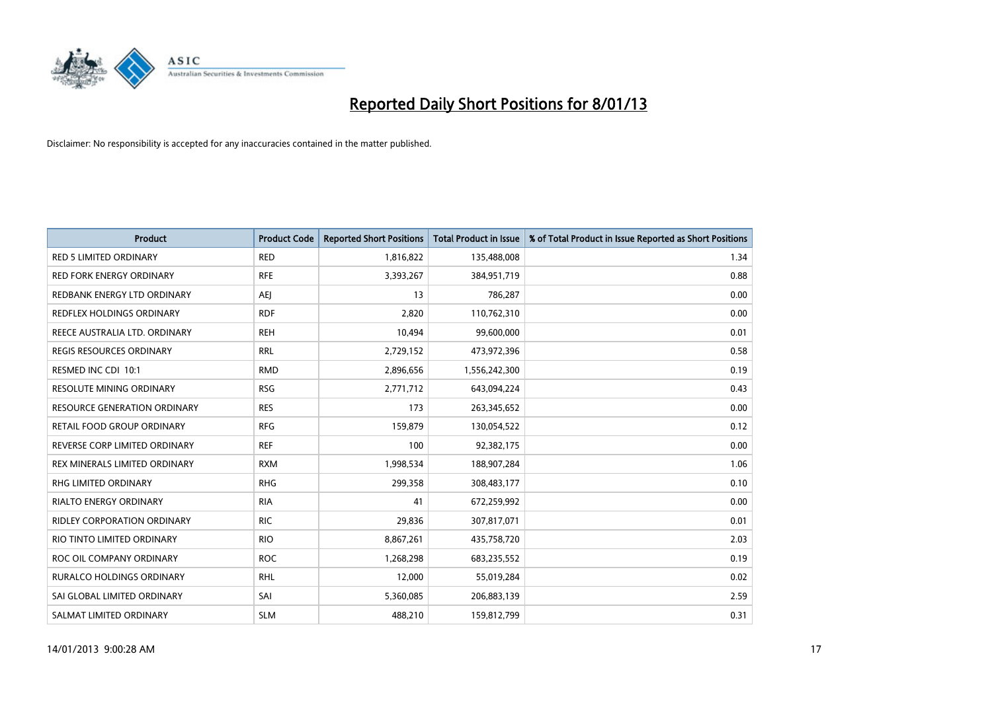

| <b>Product</b>                      | <b>Product Code</b> | <b>Reported Short Positions</b> | <b>Total Product in Issue</b> | % of Total Product in Issue Reported as Short Positions |
|-------------------------------------|---------------------|---------------------------------|-------------------------------|---------------------------------------------------------|
| <b>RED 5 LIMITED ORDINARY</b>       | <b>RED</b>          | 1,816,822                       | 135,488,008                   | 1.34                                                    |
| <b>RED FORK ENERGY ORDINARY</b>     | <b>RFE</b>          | 3,393,267                       | 384,951,719                   | 0.88                                                    |
| REDBANK ENERGY LTD ORDINARY         | AEI                 | 13                              | 786,287                       | 0.00                                                    |
| REDFLEX HOLDINGS ORDINARY           | <b>RDF</b>          | 2,820                           | 110,762,310                   | 0.00                                                    |
| REECE AUSTRALIA LTD. ORDINARY       | <b>REH</b>          | 10,494                          | 99,600,000                    | 0.01                                                    |
| <b>REGIS RESOURCES ORDINARY</b>     | <b>RRL</b>          | 2,729,152                       | 473,972,396                   | 0.58                                                    |
| RESMED INC CDI 10:1                 | <b>RMD</b>          | 2,896,656                       | 1,556,242,300                 | 0.19                                                    |
| <b>RESOLUTE MINING ORDINARY</b>     | <b>RSG</b>          | 2,771,712                       | 643,094,224                   | 0.43                                                    |
| <b>RESOURCE GENERATION ORDINARY</b> | <b>RES</b>          | 173                             | 263,345,652                   | 0.00                                                    |
| RETAIL FOOD GROUP ORDINARY          | <b>RFG</b>          | 159,879                         | 130,054,522                   | 0.12                                                    |
| REVERSE CORP LIMITED ORDINARY       | <b>REF</b>          | 100                             | 92,382,175                    | 0.00                                                    |
| REX MINERALS LIMITED ORDINARY       | <b>RXM</b>          | 1,998,534                       | 188,907,284                   | 1.06                                                    |
| RHG LIMITED ORDINARY                | <b>RHG</b>          | 299,358                         | 308,483,177                   | 0.10                                                    |
| <b>RIALTO ENERGY ORDINARY</b>       | <b>RIA</b>          | 41                              | 672,259,992                   | 0.00                                                    |
| <b>RIDLEY CORPORATION ORDINARY</b>  | <b>RIC</b>          | 29,836                          | 307,817,071                   | 0.01                                                    |
| RIO TINTO LIMITED ORDINARY          | <b>RIO</b>          | 8,867,261                       | 435,758,720                   | 2.03                                                    |
| ROC OIL COMPANY ORDINARY            | <b>ROC</b>          | 1,268,298                       | 683,235,552                   | 0.19                                                    |
| RURALCO HOLDINGS ORDINARY           | <b>RHL</b>          | 12,000                          | 55,019,284                    | 0.02                                                    |
| SAI GLOBAL LIMITED ORDINARY         | SAI                 | 5,360,085                       | 206,883,139                   | 2.59                                                    |
| SALMAT LIMITED ORDINARY             | <b>SLM</b>          | 488,210                         | 159,812,799                   | 0.31                                                    |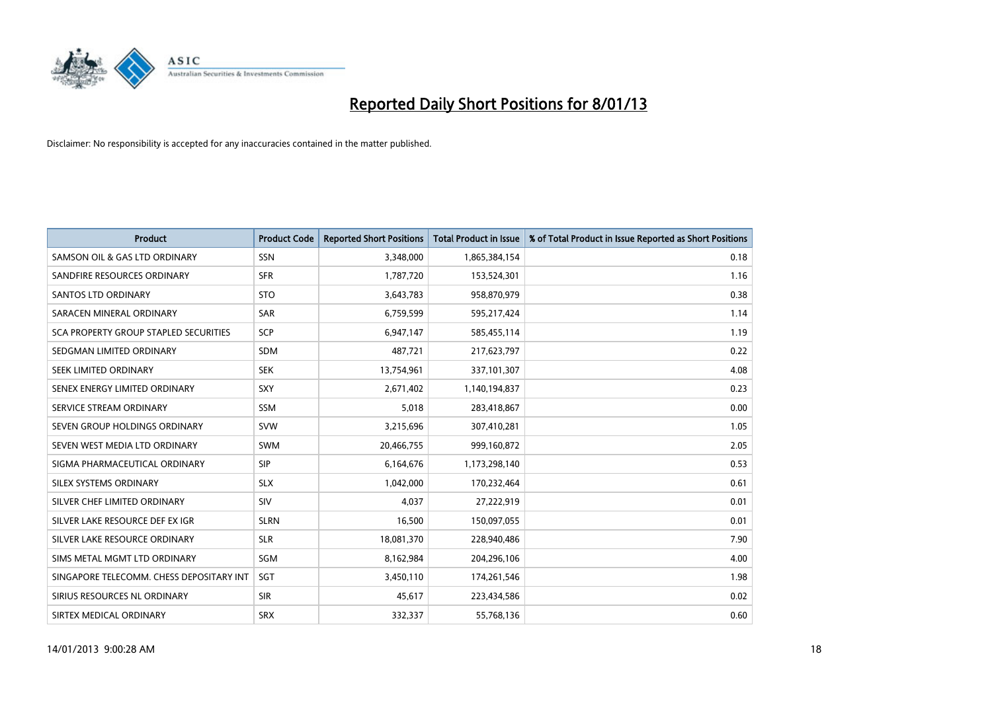

| <b>Product</b>                           | <b>Product Code</b> | <b>Reported Short Positions</b> | <b>Total Product in Issue</b> | % of Total Product in Issue Reported as Short Positions |
|------------------------------------------|---------------------|---------------------------------|-------------------------------|---------------------------------------------------------|
| SAMSON OIL & GAS LTD ORDINARY            | <b>SSN</b>          | 3,348,000                       | 1,865,384,154                 | 0.18                                                    |
| SANDFIRE RESOURCES ORDINARY              | <b>SFR</b>          | 1,787,720                       | 153,524,301                   | 1.16                                                    |
| <b>SANTOS LTD ORDINARY</b>               | <b>STO</b>          | 3,643,783                       | 958,870,979                   | 0.38                                                    |
| SARACEN MINERAL ORDINARY                 | SAR                 | 6,759,599                       | 595,217,424                   | 1.14                                                    |
| SCA PROPERTY GROUP STAPLED SECURITIES    | <b>SCP</b>          | 6,947,147                       | 585,455,114                   | 1.19                                                    |
| SEDGMAN LIMITED ORDINARY                 | <b>SDM</b>          | 487,721                         | 217,623,797                   | 0.22                                                    |
| SEEK LIMITED ORDINARY                    | <b>SEK</b>          | 13,754,961                      | 337,101,307                   | 4.08                                                    |
| SENEX ENERGY LIMITED ORDINARY            | SXY                 | 2,671,402                       | 1,140,194,837                 | 0.23                                                    |
| SERVICE STREAM ORDINARY                  | <b>SSM</b>          | 5,018                           | 283,418,867                   | 0.00                                                    |
| SEVEN GROUP HOLDINGS ORDINARY            | <b>SVW</b>          | 3,215,696                       | 307,410,281                   | 1.05                                                    |
| SEVEN WEST MEDIA LTD ORDINARY            | <b>SWM</b>          | 20,466,755                      | 999,160,872                   | 2.05                                                    |
| SIGMA PHARMACEUTICAL ORDINARY            | <b>SIP</b>          | 6,164,676                       | 1,173,298,140                 | 0.53                                                    |
| SILEX SYSTEMS ORDINARY                   | <b>SLX</b>          | 1,042,000                       | 170,232,464                   | 0.61                                                    |
| SILVER CHEF LIMITED ORDINARY             | <b>SIV</b>          | 4,037                           | 27,222,919                    | 0.01                                                    |
| SILVER LAKE RESOURCE DEF EX IGR          | <b>SLRN</b>         | 16,500                          | 150,097,055                   | 0.01                                                    |
| SILVER LAKE RESOURCE ORDINARY            | <b>SLR</b>          | 18,081,370                      | 228,940,486                   | 7.90                                                    |
| SIMS METAL MGMT LTD ORDINARY             | <b>SGM</b>          | 8,162,984                       | 204,296,106                   | 4.00                                                    |
| SINGAPORE TELECOMM. CHESS DEPOSITARY INT | SGT                 | 3,450,110                       | 174,261,546                   | 1.98                                                    |
| SIRIUS RESOURCES NL ORDINARY             | <b>SIR</b>          | 45,617                          | 223,434,586                   | 0.02                                                    |
| SIRTEX MEDICAL ORDINARY                  | <b>SRX</b>          | 332.337                         | 55,768,136                    | 0.60                                                    |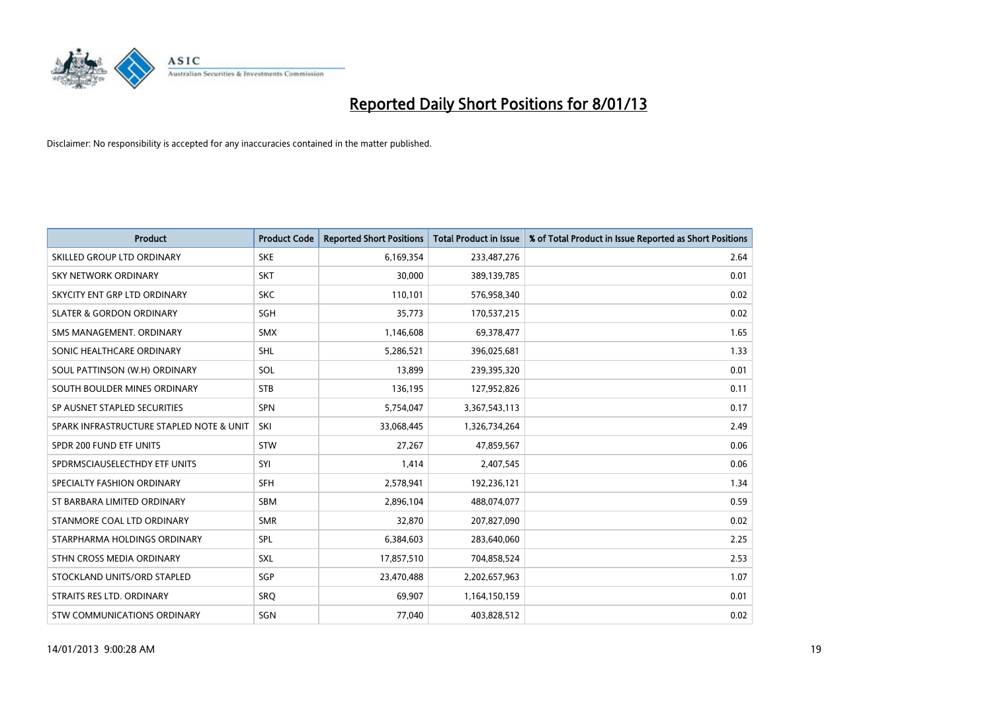

| <b>Product</b>                           | <b>Product Code</b> | <b>Reported Short Positions</b> | <b>Total Product in Issue</b> | % of Total Product in Issue Reported as Short Positions |
|------------------------------------------|---------------------|---------------------------------|-------------------------------|---------------------------------------------------------|
| SKILLED GROUP LTD ORDINARY               | <b>SKE</b>          | 6,169,354                       | 233,487,276                   | 2.64                                                    |
| SKY NETWORK ORDINARY                     | <b>SKT</b>          | 30,000                          | 389,139,785                   | 0.01                                                    |
| SKYCITY ENT GRP LTD ORDINARY             | <b>SKC</b>          | 110,101                         | 576,958,340                   | 0.02                                                    |
| <b>SLATER &amp; GORDON ORDINARY</b>      | <b>SGH</b>          | 35,773                          | 170,537,215                   | 0.02                                                    |
| SMS MANAGEMENT, ORDINARY                 | <b>SMX</b>          | 1,146,608                       | 69,378,477                    | 1.65                                                    |
| SONIC HEALTHCARE ORDINARY                | <b>SHL</b>          | 5,286,521                       | 396,025,681                   | 1.33                                                    |
| SOUL PATTINSON (W.H) ORDINARY            | SOL                 | 13,899                          | 239,395,320                   | 0.01                                                    |
| SOUTH BOULDER MINES ORDINARY             | <b>STB</b>          | 136,195                         | 127,952,826                   | 0.11                                                    |
| SP AUSNET STAPLED SECURITIES             | <b>SPN</b>          | 5,754,047                       | 3,367,543,113                 | 0.17                                                    |
| SPARK INFRASTRUCTURE STAPLED NOTE & UNIT | SKI                 | 33,068,445                      | 1,326,734,264                 | 2.49                                                    |
| SPDR 200 FUND ETF UNITS                  | <b>STW</b>          | 27,267                          | 47,859,567                    | 0.06                                                    |
| SPDRMSCIAUSELECTHDY ETF UNITS            | SYI                 | 1,414                           | 2,407,545                     | 0.06                                                    |
| SPECIALTY FASHION ORDINARY               | <b>SFH</b>          | 2,578,941                       | 192,236,121                   | 1.34                                                    |
| ST BARBARA LIMITED ORDINARY              | <b>SBM</b>          | 2,896,104                       | 488,074,077                   | 0.59                                                    |
| STANMORE COAL LTD ORDINARY               | <b>SMR</b>          | 32,870                          | 207,827,090                   | 0.02                                                    |
| STARPHARMA HOLDINGS ORDINARY             | SPL                 | 6,384,603                       | 283,640,060                   | 2.25                                                    |
| STHN CROSS MEDIA ORDINARY                | <b>SXL</b>          | 17,857,510                      | 704,858,524                   | 2.53                                                    |
| STOCKLAND UNITS/ORD STAPLED              | <b>SGP</b>          | 23,470,488                      | 2,202,657,963                 | 1.07                                                    |
| STRAITS RES LTD. ORDINARY                | SRO                 | 69,907                          | 1,164,150,159                 | 0.01                                                    |
| STW COMMUNICATIONS ORDINARY              | SGN                 | 77,040                          | 403,828,512                   | 0.02                                                    |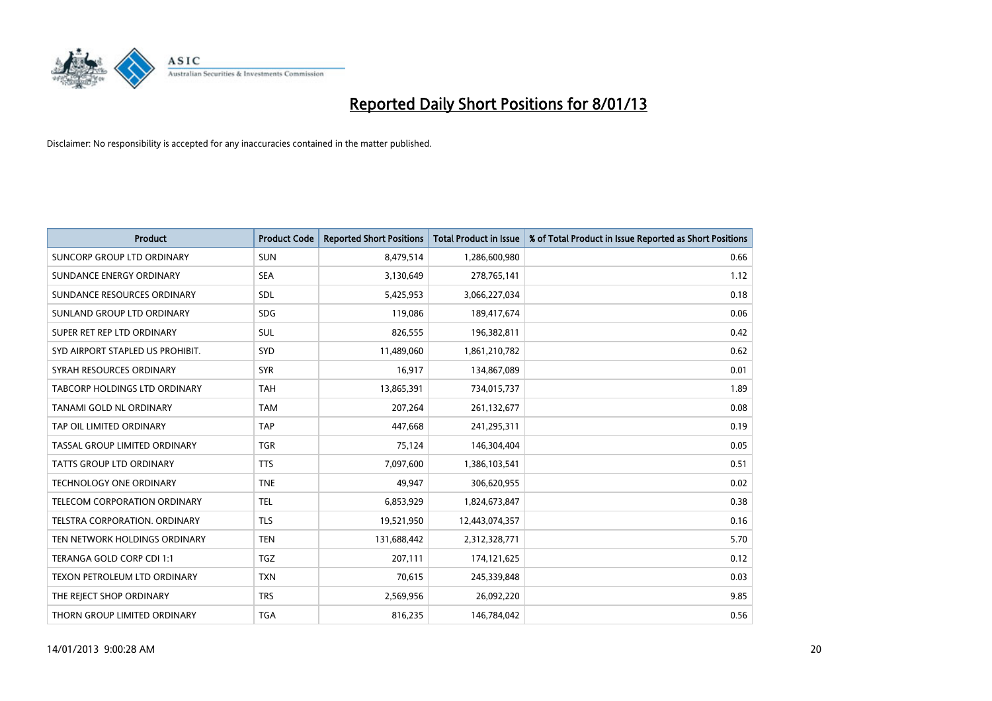

| <b>Product</b>                       | <b>Product Code</b> | <b>Reported Short Positions</b> | <b>Total Product in Issue</b> | % of Total Product in Issue Reported as Short Positions |
|--------------------------------------|---------------------|---------------------------------|-------------------------------|---------------------------------------------------------|
| SUNCORP GROUP LTD ORDINARY           | <b>SUN</b>          | 8,479,514                       | 1,286,600,980                 | 0.66                                                    |
| SUNDANCE ENERGY ORDINARY             | <b>SEA</b>          | 3,130,649                       | 278,765,141                   | 1.12                                                    |
| SUNDANCE RESOURCES ORDINARY          | <b>SDL</b>          | 5,425,953                       | 3,066,227,034                 | 0.18                                                    |
| SUNLAND GROUP LTD ORDINARY           | <b>SDG</b>          | 119,086                         | 189,417,674                   | 0.06                                                    |
| SUPER RET REP LTD ORDINARY           | <b>SUL</b>          | 826,555                         | 196,382,811                   | 0.42                                                    |
| SYD AIRPORT STAPLED US PROHIBIT.     | <b>SYD</b>          | 11,489,060                      | 1,861,210,782                 | 0.62                                                    |
| SYRAH RESOURCES ORDINARY             | <b>SYR</b>          | 16,917                          | 134,867,089                   | 0.01                                                    |
| TABCORP HOLDINGS LTD ORDINARY        | <b>TAH</b>          | 13,865,391                      | 734,015,737                   | 1.89                                                    |
| <b>TANAMI GOLD NL ORDINARY</b>       | <b>TAM</b>          | 207,264                         | 261,132,677                   | 0.08                                                    |
| TAP OIL LIMITED ORDINARY             | <b>TAP</b>          | 447,668                         | 241,295,311                   | 0.19                                                    |
| TASSAL GROUP LIMITED ORDINARY        | <b>TGR</b>          | 75,124                          | 146,304,404                   | 0.05                                                    |
| <b>TATTS GROUP LTD ORDINARY</b>      | <b>TTS</b>          | 7,097,600                       | 1,386,103,541                 | 0.51                                                    |
| TECHNOLOGY ONE ORDINARY              | <b>TNE</b>          | 49,947                          | 306,620,955                   | 0.02                                                    |
| TELECOM CORPORATION ORDINARY         | <b>TEL</b>          | 6,853,929                       | 1,824,673,847                 | 0.38                                                    |
| <b>TELSTRA CORPORATION, ORDINARY</b> | <b>TLS</b>          | 19,521,950                      | 12,443,074,357                | 0.16                                                    |
| TEN NETWORK HOLDINGS ORDINARY        | <b>TEN</b>          | 131,688,442                     | 2,312,328,771                 | 5.70                                                    |
| TERANGA GOLD CORP CDI 1:1            | <b>TGZ</b>          | 207,111                         | 174,121,625                   | 0.12                                                    |
| TEXON PETROLEUM LTD ORDINARY         | <b>TXN</b>          | 70,615                          | 245,339,848                   | 0.03                                                    |
| THE REJECT SHOP ORDINARY             | <b>TRS</b>          | 2,569,956                       | 26,092,220                    | 9.85                                                    |
| THORN GROUP LIMITED ORDINARY         | <b>TGA</b>          | 816,235                         | 146,784,042                   | 0.56                                                    |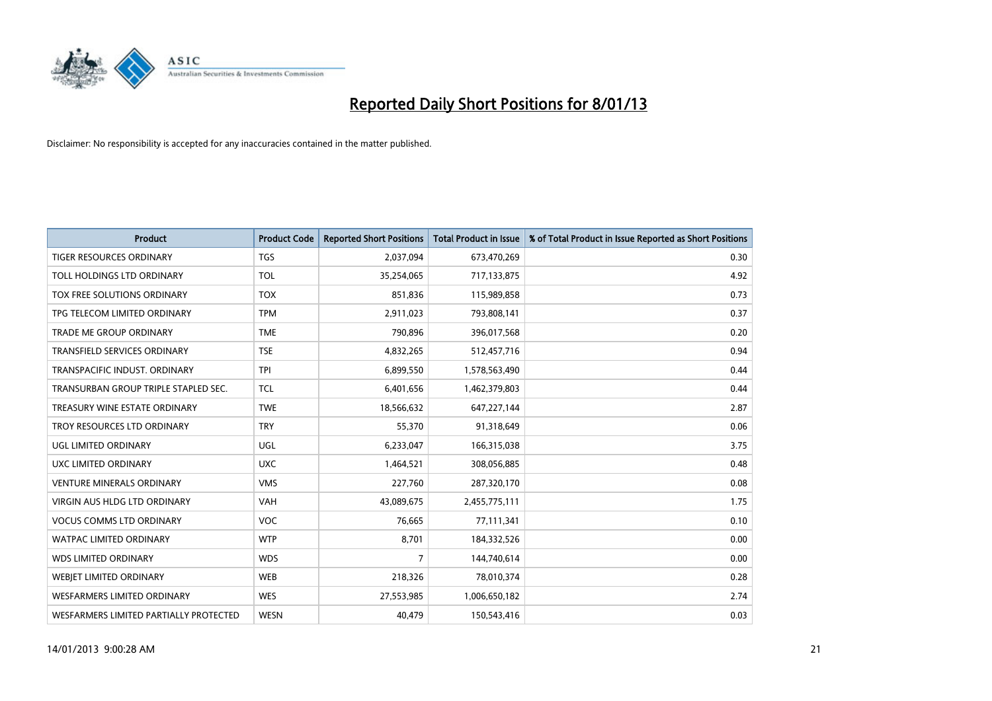

| <b>Product</b>                         | <b>Product Code</b> | <b>Reported Short Positions</b> | <b>Total Product in Issue</b> | % of Total Product in Issue Reported as Short Positions |
|----------------------------------------|---------------------|---------------------------------|-------------------------------|---------------------------------------------------------|
| <b>TIGER RESOURCES ORDINARY</b>        | <b>TGS</b>          | 2,037,094                       | 673,470,269                   | 0.30                                                    |
| TOLL HOLDINGS LTD ORDINARY             | <b>TOL</b>          | 35,254,065                      | 717,133,875                   | 4.92                                                    |
| TOX FREE SOLUTIONS ORDINARY            | <b>TOX</b>          | 851,836                         | 115,989,858                   | 0.73                                                    |
| TPG TELECOM LIMITED ORDINARY           | <b>TPM</b>          | 2,911,023                       | 793,808,141                   | 0.37                                                    |
| <b>TRADE ME GROUP ORDINARY</b>         | <b>TME</b>          | 790,896                         | 396,017,568                   | 0.20                                                    |
| <b>TRANSFIELD SERVICES ORDINARY</b>    | <b>TSE</b>          | 4,832,265                       | 512,457,716                   | 0.94                                                    |
| TRANSPACIFIC INDUST, ORDINARY          | <b>TPI</b>          | 6,899,550                       | 1,578,563,490                 | 0.44                                                    |
| TRANSURBAN GROUP TRIPLE STAPLED SEC.   | <b>TCL</b>          | 6,401,656                       | 1,462,379,803                 | 0.44                                                    |
| TREASURY WINE ESTATE ORDINARY          | <b>TWE</b>          | 18,566,632                      | 647,227,144                   | 2.87                                                    |
| TROY RESOURCES LTD ORDINARY            | <b>TRY</b>          | 55,370                          | 91,318,649                    | 0.06                                                    |
| UGL LIMITED ORDINARY                   | UGL                 | 6,233,047                       | 166,315,038                   | 3.75                                                    |
| UXC LIMITED ORDINARY                   | <b>UXC</b>          | 1,464,521                       | 308,056,885                   | 0.48                                                    |
| <b>VENTURE MINERALS ORDINARY</b>       | <b>VMS</b>          | 227,760                         | 287,320,170                   | 0.08                                                    |
| <b>VIRGIN AUS HLDG LTD ORDINARY</b>    | <b>VAH</b>          | 43,089,675                      | 2,455,775,111                 | 1.75                                                    |
| <b>VOCUS COMMS LTD ORDINARY</b>        | <b>VOC</b>          | 76,665                          | 77,111,341                    | 0.10                                                    |
| <b>WATPAC LIMITED ORDINARY</b>         | <b>WTP</b>          | 8,701                           | 184,332,526                   | 0.00                                                    |
| <b>WDS LIMITED ORDINARY</b>            | <b>WDS</b>          | $\overline{7}$                  | 144,740,614                   | 0.00                                                    |
| WEBJET LIMITED ORDINARY                | <b>WEB</b>          | 218,326                         | 78,010,374                    | 0.28                                                    |
| <b>WESFARMERS LIMITED ORDINARY</b>     | <b>WES</b>          | 27,553,985                      | 1,006,650,182                 | 2.74                                                    |
| WESFARMERS LIMITED PARTIALLY PROTECTED | <b>WESN</b>         | 40,479                          | 150,543,416                   | 0.03                                                    |